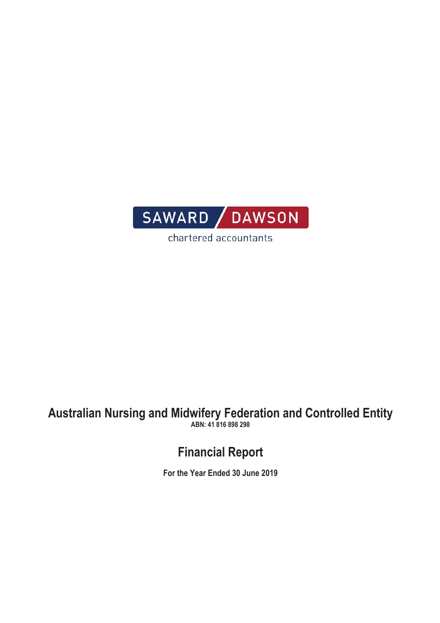

# **Financial Report**

**For the Year Ended 30 June 2019**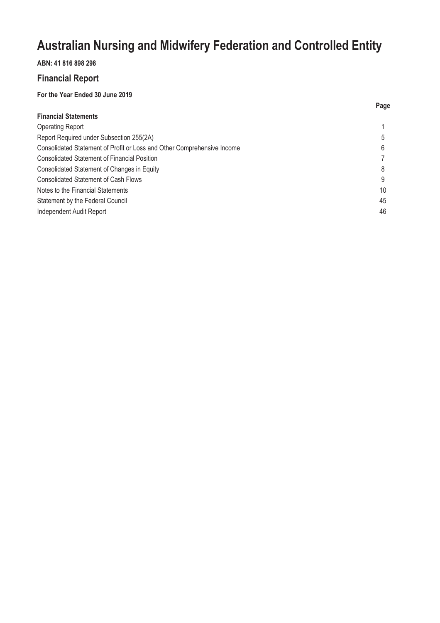## **ABN: 41 816 898 298**

# **Financial Report**

# **For the Year Ended 30 June 2019**

|                                                                         | Page |
|-------------------------------------------------------------------------|------|
| <b>Financial Statements</b>                                             |      |
| <b>Operating Report</b>                                                 |      |
| Report Required under Subsection 255(2A)                                | 5    |
| Consolidated Statement of Profit or Loss and Other Comprehensive Income | 6    |
| Consolidated Statement of Financial Position                            |      |
| Consolidated Statement of Changes in Equity                             | 8    |
| <b>Consolidated Statement of Cash Flows</b>                             | 9    |
| Notes to the Financial Statements                                       | 10   |
| Statement by the Federal Council                                        | 45   |
| Independent Audit Report                                                | 46   |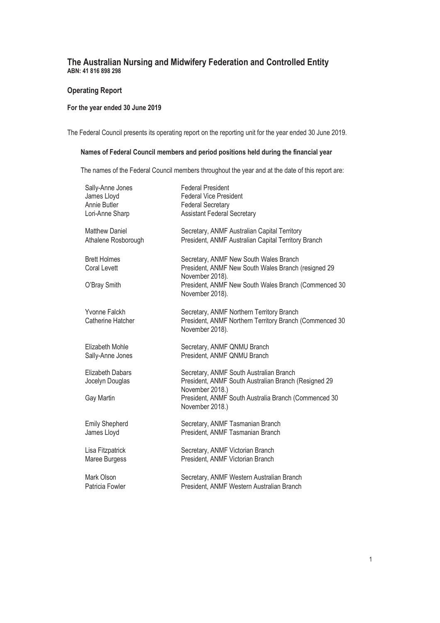### Operating Report

### For the year ended 30 June 2019

The Federal Council presents its operating report on the reporting unit for the year ended 30 June 2019.

### Names of Federal Council members and period positions held during the financial year

The names of the Federal Council members throughout the year and at the date of this report are:

| Sally-Anne Jones        | <b>Federal President</b>                                                   |
|-------------------------|----------------------------------------------------------------------------|
| James Lloyd             | <b>Federal Vice President</b>                                              |
| Annie Butler            | <b>Federal Secretary</b>                                                   |
| Lori-Anne Sharp         | <b>Assistant Federal Secretary</b>                                         |
| <b>Matthew Daniel</b>   | Secretary, ANMF Australian Capital Territory                               |
| Athalene Rosborough     | President, ANMF Australian Capital Territory Branch                        |
| <b>Brett Holmes</b>     | Secretary, ANMF New South Wales Branch                                     |
| <b>Coral Levett</b>     | President, ANMF New South Wales Branch (resigned 29<br>November 2018).     |
| O'Bray Smith            | President, ANMF New South Wales Branch (Commenced 30<br>November 2018).    |
| Yvonne Falckh           | Secretary, ANMF Northern Territory Branch                                  |
| Catherine Hatcher       | President, ANMF Northern Territory Branch (Commenced 30<br>November 2018). |
| Elizabeth Mohle         | Secretary, ANMF QNMU Branch                                                |
| Sally-Anne Jones        | President, ANMF QNMU Branch                                                |
| <b>Elizabeth Dabars</b> | Secretary, ANMF South Australian Branch                                    |
| Jocelyn Douglas         | President, ANMF South Australian Branch (Resigned 29<br>November 2018.)    |
| Gay Martin              | President, ANMF South Australia Branch (Commenced 30                       |
|                         | November 2018.)                                                            |
| <b>Emily Shepherd</b>   | Secretary, ANMF Tasmanian Branch                                           |
| James Lloyd             | President, ANMF Tasmanian Branch                                           |
| Lisa Fitzpatrick        | Secretary, ANMF Victorian Branch                                           |
| Maree Burgess           | President, ANMF Victorian Branch                                           |
| Mark Olson              | Secretary, ANMF Western Australian Branch                                  |
| Patricia Fowler         | President, ANMF Western Australian Branch                                  |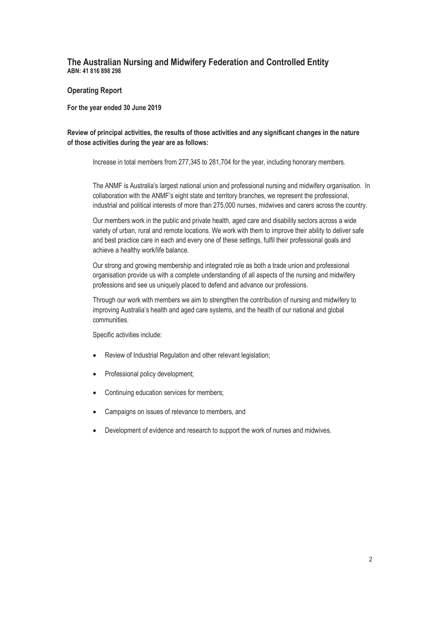### Operating Report

For the year ended 30 June 2019

### Review of principal activities, the results of those activities and any significant changes in the nature of those activities during the year are as follows:

Increase in total members from 277,345 to 281,704 for the year, including honorary members.

The ANMF is Australia's largest national union and professional nursing and midwifery organisation. In collaboration with the ANMF's eight state and territory branches, we represent the professional, industrial and political interests of more than 275,000 nurses, midwives and carers across the country.

Our members work in the public and private health, aged care and disability sectors across a wide variety of urban, rural and remote locations. We work with them to improve their ability to deliver safe and best practice care in each and every one of these settings, fulfil their professional goals and achieve a healthy work/life balance.

Our strong and growing membership and integrated role as both a trade union and professional organisation provide us with a complete understanding of all aspects of the nursing and midwifery professions and see us uniquely placed to defend and advance our professions.

Through our work with members we aim to strengthen the contribution of nursing and midwifery to improving Australia's health and aged care systems, and the health of our national and global communities.

Specific activities include:

- Review of Industrial Regulation and other relevant legislation;
- Professional policy development;
- Continuing education services for members;
- Campaigns on issues of relevance to members, and
- Development of evidence and research to support the work of nurses and midwives.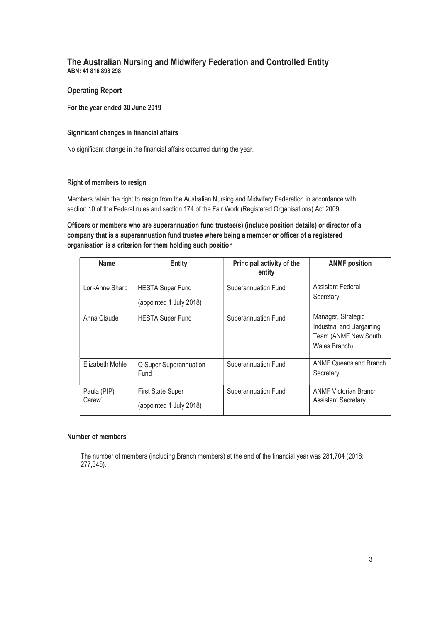### Operating Report

For the year ended 30 June 2019

#### Significant changes in financial affairs

No significant change in the financial affairs occurred during the year.

#### Right of members to resign

Members retain the right to resign from the Australian Nursing and Midwifery Federation in accordance with section 10 of the Federal rules and section 174 of the Fair Work (Registered Organisations) Act 2009.

Officers or members who are superannuation fund trustee(s) (include position details) or director of a company that is a superannuation fund trustee where being a member or officer of a registered organisation is a criterion for them holding such position

| Name                              | <b>Entity</b>                                       | Principal activity of the<br>entity | <b>ANMF</b> position                                                                     |
|-----------------------------------|-----------------------------------------------------|-------------------------------------|------------------------------------------------------------------------------------------|
| Lori-Anne Sharp                   | <b>HESTA Super Fund</b><br>(appointed 1 July 2018)  | Superannuation Fund                 | Assistant Federal<br>Secretary                                                           |
| Anna Claude                       | <b>HESTA Super Fund</b>                             | Superannuation Fund                 | Manager, Strategic<br>Industrial and Bargaining<br>Team (ANMF New South<br>Wales Branch) |
| Elizabeth Mohle                   | Q Super Superannuation<br>Fund                      | Superannuation Fund                 | <b>ANMF Queensland Branch</b><br>Secretary                                               |
| Paula (PIP)<br>Carew <sup>'</sup> | <b>First State Super</b><br>(appointed 1 July 2018) | Superannuation Fund                 | <b>ANMF Victorian Branch</b><br><b>Assistant Secretary</b>                               |

#### Number of members

The number of members (including Branch members) at the end of the financial year was 281,704 (2018: 277,345).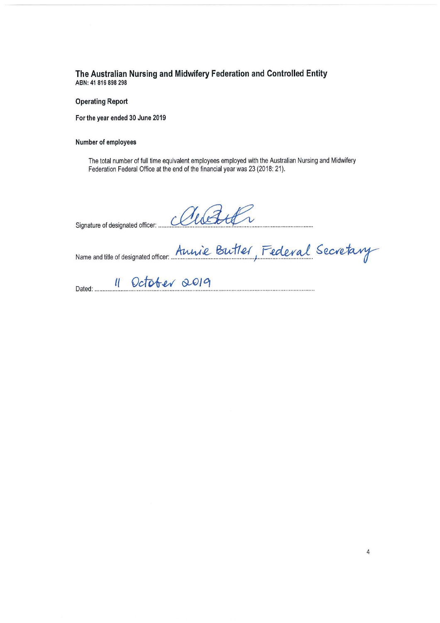#### **Operating Report**

For the year ended 30 June 2019

### Number of employees

The total number of full time equivalent employees employed with the Australian Nursing and Midwifery Federation Federal Office at the end of the financial year was 23 (2018: 21).

Signature of designated officer: COUCLIE 

Name and title of designated officer Aunie Butler, Fedeval Secretary

11 October 2019 Dated: ............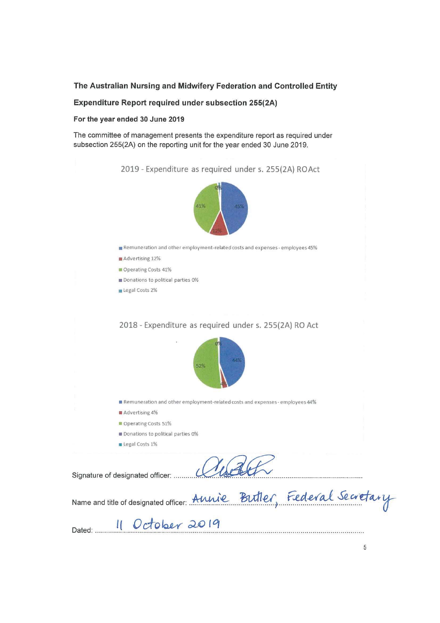### Expenditure Report required under subsection 255(2A)

### For the year ended 30 June 2019

The committee of management presents the expenditure report as required under subsection 255(2A) on the reporting unit for the year ended 30 June 2019.

2019 - Expenditure as required under s. 255(2A) ROAct



Remuneration and other employment-related costs and expenses - employees 45%

- Advertising 12%
- Operating Costs 41%
- Donations to political parties 0%
- Legal Costs 2%

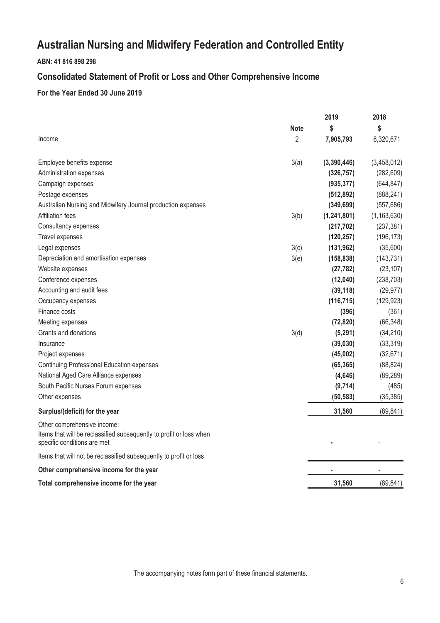## **ABN: 41 816 898 298**

# **Consolidated Statement of Profit or Loss and Other Comprehensive Income**

# **For the Year Ended 30 June 2019**

|                                                                                                                                   |                | 2019        | 2018          |
|-----------------------------------------------------------------------------------------------------------------------------------|----------------|-------------|---------------|
|                                                                                                                                   | <b>Note</b>    | \$          | \$            |
| Income                                                                                                                            | $\overline{2}$ | 7,905,793   | 8,320,671     |
| Employee benefits expense                                                                                                         | 3(a)           | (3,390,446) | (3,458,012)   |
| Administration expenses                                                                                                           |                | (326, 757)  | (282, 609)    |
| Campaign expenses                                                                                                                 |                | (935, 377)  | (644, 847)    |
| Postage expenses                                                                                                                  |                | (512, 892)  | (888, 241)    |
| Australian Nursing and Midwifery Journal production expenses                                                                      |                | (349, 699)  | (557, 686)    |
| Affiliation fees                                                                                                                  | 3(b)           | (1,241,801) | (1, 163, 630) |
| Consultancy expenses                                                                                                              |                | (217, 702)  | (237, 381)    |
| Travel expenses                                                                                                                   |                | (120, 257)  | (196, 173)    |
| Legal expenses                                                                                                                    | 3(c)           | (131, 962)  | (35,600)      |
| Depreciation and amortisation expenses                                                                                            | 3(e)           | (158, 838)  | (143, 731)    |
| Website expenses                                                                                                                  |                | (27, 782)   | (23, 107)     |
| Conference expenses                                                                                                               |                | (12,040)    | (238, 703)    |
| Accounting and audit fees                                                                                                         |                | (39, 118)   | (29, 977)     |
| Occupancy expenses                                                                                                                |                | (116, 715)  | (129, 923)    |
| Finance costs                                                                                                                     |                | (396)       | (361)         |
| Meeting expenses                                                                                                                  |                | (72, 820)   | (66, 348)     |
| Grants and donations                                                                                                              | 3(d)           | (5, 291)    | (34, 210)     |
| Insurance                                                                                                                         |                | (39, 030)   | (33, 319)     |
| Project expenses                                                                                                                  |                | (45,002)    | (32, 671)     |
| <b>Continuing Professional Education expenses</b>                                                                                 |                | (65, 365)   | (88, 824)     |
| National Aged Care Alliance expenses                                                                                              |                | (4,646)     | (89, 289)     |
| South Pacific Nurses Forum expenses                                                                                               |                | (9,714)     | (485)         |
| Other expenses                                                                                                                    |                | (50, 583)   | (35, 385)     |
| Surplus/(deficit) for the year                                                                                                    |                | 31,560      | (89, 841)     |
| Other comprehensive income:<br>Items that will be reclassified subsequently to profit or loss when<br>specific conditions are met |                |             |               |
| Items that will not be reclassified subsequently to profit or loss                                                                |                |             |               |
| Other comprehensive income for the year                                                                                           |                |             |               |
| Total comprehensive income for the year                                                                                           |                | 31,560      | (89, 841)     |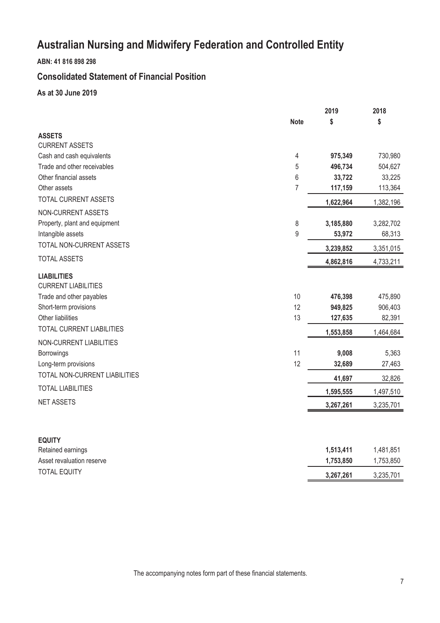**ABN: 41 816 898 298**

# **Consolidated Statement of Financial Position**

**As at 30 June 2019**

|                                                                                                                            |                | 2019                          | 2018                         |
|----------------------------------------------------------------------------------------------------------------------------|----------------|-------------------------------|------------------------------|
|                                                                                                                            | <b>Note</b>    | \$                            | \$                           |
| <b>ASSETS</b>                                                                                                              |                |                               |                              |
| <b>CURRENT ASSETS</b>                                                                                                      |                |                               |                              |
| Cash and cash equivalents                                                                                                  | 4              | 975,349                       | 730,980                      |
| Trade and other receivables                                                                                                | 5              | 496,734                       | 504,627                      |
| Other financial assets                                                                                                     | 6              | 33,722                        | 33,225                       |
| Other assets                                                                                                               | $\overline{7}$ | 117,159                       | 113,364                      |
| TOTAL CURRENT ASSETS                                                                                                       |                | 1,622,964                     | 1,382,196                    |
| NON-CURRENT ASSETS                                                                                                         |                |                               |                              |
| Property, plant and equipment                                                                                              | 8              | 3,185,880                     | 3,282,702                    |
| Intangible assets                                                                                                          | 9              | 53,972                        | 68,313                       |
| TOTAL NON-CURRENT ASSETS                                                                                                   |                | 3,239,852                     | 3,351,015                    |
| <b>TOTAL ASSETS</b>                                                                                                        |                | 4,862,816                     | 4,733,211                    |
| <b>LIABILITIES</b><br><b>CURRENT LIABILITIES</b><br>Trade and other payables<br>Short-term provisions<br>Other liabilities | 10<br>12<br>13 | 476,398<br>949,825<br>127,635 | 475,890<br>906,403<br>82,391 |
| TOTAL CURRENT LIABILITIES                                                                                                  |                | 1,553,858                     | 1,464,684                    |
| NON-CURRENT LIABILITIES<br>Borrowings<br>Long-term provisions<br>TOTAL NON-CURRENT LIABILITIES                             | 11<br>12       | 9,008<br>32,689               | 5,363<br>27,463              |
|                                                                                                                            |                | 41,697                        | 32,826                       |
| <b>TOTAL LIABILITIES</b>                                                                                                   |                | 1,595,555                     | 1,497,510                    |
| <b>NET ASSETS</b>                                                                                                          |                | 3,267,261                     | 3,235,701                    |
| <b>EQUITY</b>                                                                                                              |                |                               |                              |
| Retained earnings<br>Asset revaluation reserve                                                                             |                | 1,513,411<br>1,753,850        | 1,481,851<br>1,753,850       |
| <b>TOTAL EQUITY</b>                                                                                                        |                | 3,267,261                     | 3,235,701                    |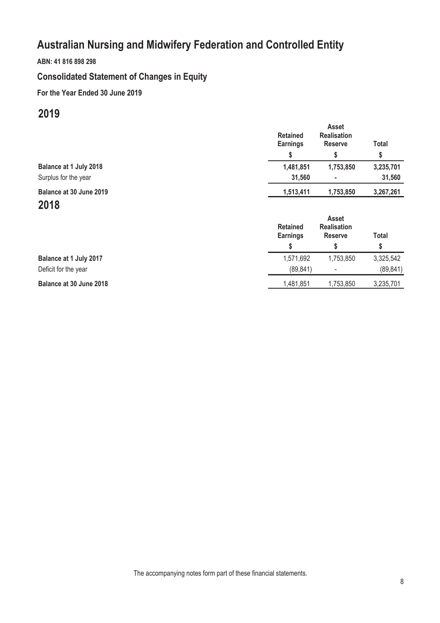# **ABN: 41 816 898 298**

# **Consolidated Statement of Changes in Equity**

# **For the Year Ended 30 June 2019**

# **2019**

|                         | <b>Retained</b><br><b>Earnings</b><br>S | <b>Asset</b><br><b>Realisation</b><br><b>Reserve</b><br>\$ | Total<br>\$  |
|-------------------------|-----------------------------------------|------------------------------------------------------------|--------------|
| Balance at 1 July 2018  | 1,481,851                               | 1,753,850                                                  | 3,235,701    |
| Surplus for the year    | 31,560                                  |                                                            | 31,560       |
| Balance at 30 June 2019 | 1,513,411                               | 1,753,850                                                  | 3,267,261    |
| 2018                    |                                         |                                                            |              |
|                         | <b>Retained</b><br><b>Earnings</b>      | <b>Asset</b><br><b>Realisation</b><br><b>Reserve</b>       | <b>Total</b> |
|                         | S                                       | \$                                                         | \$           |
| Balance at 1 July 2017  | 1,571,692                               | 1,753,850                                                  | 3,325,542    |
| Deficit for the year    | (89, 841)                               |                                                            | (89, 841)    |
| Balance at 30 June 2018 | 1,481,851                               | 1,753,850                                                  | 3,235,701    |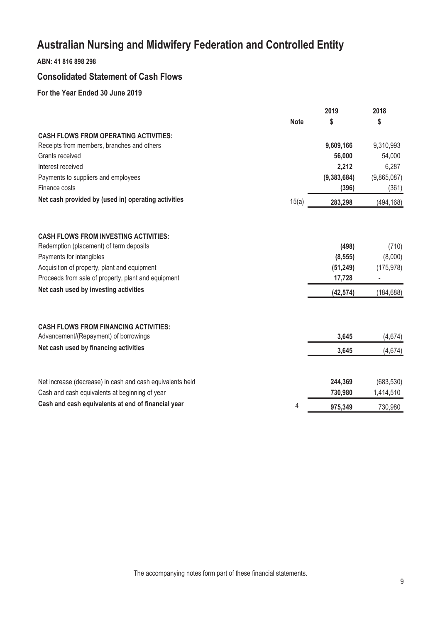### **ABN: 41 816 898 298**

# **Consolidated Statement of Cash Flows**

# **For the Year Ended 30 June 2019**

|                                                           |             | 2019          | 2018        |
|-----------------------------------------------------------|-------------|---------------|-------------|
|                                                           | <b>Note</b> | \$            | \$          |
| <b>CASH FLOWS FROM OPERATING ACTIVITIES:</b>              |             |               |             |
| Receipts from members, branches and others                |             | 9,609,166     | 9,310,993   |
| Grants received                                           |             | 56,000        | 54,000      |
| Interest received                                         |             | 2,212         | 6,287       |
| Payments to suppliers and employees                       |             | (9, 383, 684) | (9,865,087) |
| Finance costs                                             |             | (396)         | (361)       |
| Net cash provided by (used in) operating activities       | 15(a)       | 283,298       | (494, 168)  |
| <b>CASH FLOWS FROM INVESTING ACTIVITIES:</b>              |             |               |             |
| Redemption (placement) of term deposits                   |             | (498)         | (710)       |
| Payments for intangibles                                  |             | (8, 555)      | (8,000)     |
| Acquisition of property, plant and equipment              |             | (51, 249)     | (175, 978)  |
| Proceeds from sale of property, plant and equipment       |             | 17,728        |             |
| Net cash used by investing activities                     |             | (42, 574)     | (184, 688)  |
|                                                           |             |               |             |
| <b>CASH FLOWS FROM FINANCING ACTIVITIES:</b>              |             |               |             |
| Advancement/(Repayment) of borrowings                     |             | 3,645         | (4,674)     |
| Net cash used by financing activities                     |             | 3,645         | (4,674)     |
| Net increase (decrease) in cash and cash equivalents held |             | 244,369       | (683, 530)  |
| Cash and cash equivalents at beginning of year            |             | 730,980       | 1,414,510   |
| Cash and cash equivalents at end of financial year        | 4           | 975,349       | 730,980     |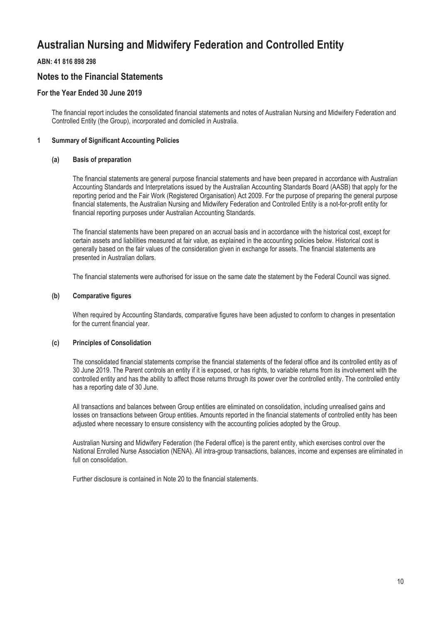### **ABN: 41 816 898 298**

# **Notes to the Financial Statements**

### **For the Year Ended 30 June 2019**

The financial report includes the consolidated financial statements and notes of Australian Nursing and Midwifery Federation and Controlled Entity (the Group), incorporated and domiciled in Australia.

### **1 Summary of Significant Accounting Policies**

### **(a) Basis of preparation**

The financial statements are general purpose financial statements and have been prepared in accordance with Australian Accounting Standards and Interpretations issued by the Australian Accounting Standards Board (AASB) that apply for the reporting period and the Fair Work (Registered Organisation) Act 2009. For the purpose of preparing the general purpose financial statements, the Australian Nursing and Midwifery Federation and Controlled Entity is a not-for-profit entity for financial reporting purposes under Australian Accounting Standards.

The financial statements have been prepared on an accrual basis and in accordance with the historical cost, except for certain assets and liabilities measured at fair value, as explained in the accounting policies below. Historical cost is generally based on the fair values of the consideration given in exchange for assets. The financial statements are presented in Australian dollars.

The financial statements were authorised for issue on the same date the statement by the Federal Council was signed.

### **(b) Comparative figures**

When required by Accounting Standards, comparative figures have been adjusted to conform to changes in presentation for the current financial year.

### **(c) Principles of Consolidation**

The consolidated financial statements comprise the financial statements of the federal office and its controlled entity as of 30 June 2019. The Parent controls an entity if it is exposed, or has rights, to variable returns from its involvement with the controlled entity and has the ability to affect those returns through its power over the controlled entity. The controlled entity has a reporting date of 30 June.

All transactions and balances between Group entities are eliminated on consolidation, including unrealised gains and losses on transactions between Group entities. Amounts reported in the financial statements of controlled entity has been adjusted where necessary to ensure consistency with the accounting policies adopted by the Group.

Australian Nursing and Midwifery Federation (the Federal office) is the parent entity, which exercises control over the National Enrolled Nurse Association (NENA). All intra-group transactions, balances, income and expenses are eliminated in full on consolidation.

Further disclosure is contained in Note 20 to the financial statements.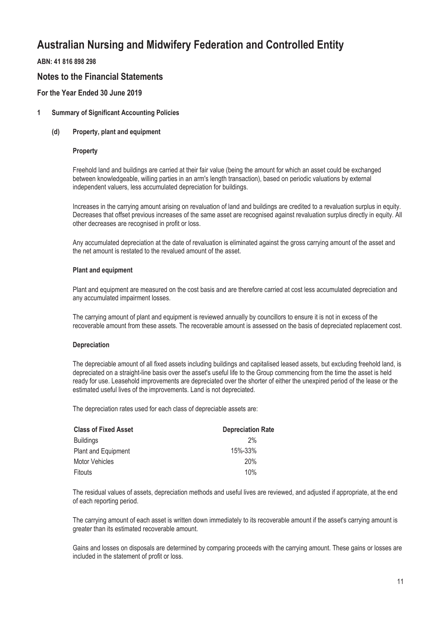### **ABN: 41 816 898 298**

# **Notes to the Financial Statements**

### **For the Year Ended 30 June 2019**

### **1 Summary of Significant Accounting Policies**

### **(d) Property, plant and equipment**

### **Property**

Freehold land and buildings are carried at their fair value (being the amount for which an asset could be exchanged between knowledgeable, willing parties in an arm's length transaction), based on periodic valuations by external independent valuers, less accumulated depreciation for buildings.

Increases in the carrying amount arising on revaluation of land and buildings are credited to a revaluation surplus in equity. Decreases that offset previous increases of the same asset are recognised against revaluation surplus directly in equity. All other decreases are recognised in profit or loss.

Any accumulated depreciation at the date of revaluation is eliminated against the gross carrying amount of the asset and the net amount is restated to the revalued amount of the asset.

#### **Plant and equipment**

Plant and equipment are measured on the cost basis and are therefore carried at cost less accumulated depreciation and any accumulated impairment losses.

The carrying amount of plant and equipment is reviewed annually by councillors to ensure it is not in excess of the recoverable amount from these assets. The recoverable amount is assessed on the basis of depreciated replacement cost.

#### **Depreciation**

The depreciable amount of all fixed assets including buildings and capitalised leased assets, but excluding freehold land, is depreciated on a straight-line basis over the asset's useful life to the Group commencing from the time the asset is held ready for use. Leasehold improvements are depreciated over the shorter of either the unexpired period of the lease or the estimated useful lives of the improvements. Land is not depreciated.

The depreciation rates used for each class of depreciable assets are:

| <b>Class of Fixed Asset</b> | <b>Depreciation Rate</b> |
|-----------------------------|--------------------------|
| <b>Buildings</b>            | 2%                       |
| Plant and Equipment         | 15%-33%                  |
| <b>Motor Vehicles</b>       | 20%                      |
| Fitouts                     | 10%                      |

The residual values of assets, depreciation methods and useful lives are reviewed, and adjusted if appropriate, at the end of each reporting period.

The carrying amount of each asset is written down immediately to its recoverable amount if the asset's carrying amount is greater than its estimated recoverable amount.

Gains and losses on disposals are determined by comparing proceeds with the carrying amount. These gains or losses are included in the statement of profit or loss.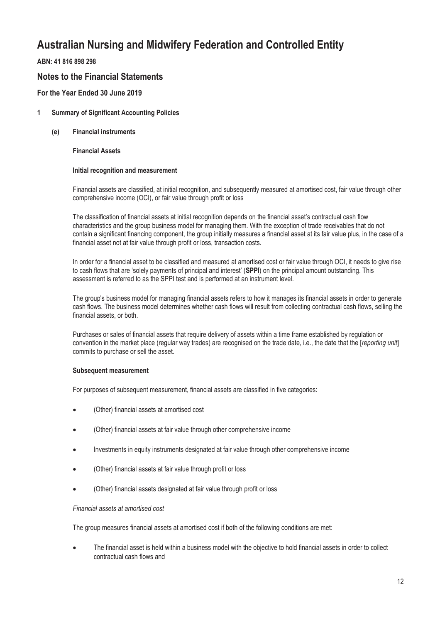**ABN: 41 816 898 298**

# **Notes to the Financial Statements**

### **For the Year Ended 30 June 2019**

### **1 Summary of Significant Accounting Policies**

**(e) Financial instruments**

**Financial Assets**

#### **Initial recognition and measurement**

Financial assets are classified, at initial recognition, and subsequently measured at amortised cost, fair value through other comprehensive income (OCI), or fair value through profit or loss

The classification of financial assets at initial recognition depends on the financial asset's contractual cash flow characteristics and the group business model for managing them. With the exception of trade receivables that do not contain a significant financing component, the group initially measures a financial asset at its fair value plus, in the case of a financial asset not at fair value through profit or loss, transaction costs.

In order for a financial asset to be classified and measured at amortised cost or fair value through OCI, it needs to give rise to cash flows that are 'solely payments of principal and interest' (**SPPI**) on the principal amount outstanding. This assessment is referred to as the SPPI test and is performed at an instrument level.

The group's business model for managing financial assets refers to how it manages its financial assets in order to generate cash flows. The business model determines whether cash flows will result from collecting contractual cash flows, selling the financial assets, or both.

Purchases or sales of financial assets that require delivery of assets within a time frame established by regulation or convention in the market place (regular way trades) are recognised on the trade date, i.e., the date that the [*reporting unit*] commits to purchase or sell the asset.

### **Subsequent measurement**

For purposes of subsequent measurement, financial assets are classified in five categories:

- (Other) financial assets at amortised cost
- (Other) financial assets at fair value through other comprehensive income
- Investments in equity instruments designated at fair value through other comprehensive income
- (Other) financial assets at fair value through profit or loss
- (Other) financial assets designated at fair value through profit or loss

#### *Financial assets at amortised cost*

The group measures financial assets at amortised cost if both of the following conditions are met:

 The financial asset is held within a business model with the objective to hold financial assets in order to collect contractual cash flows and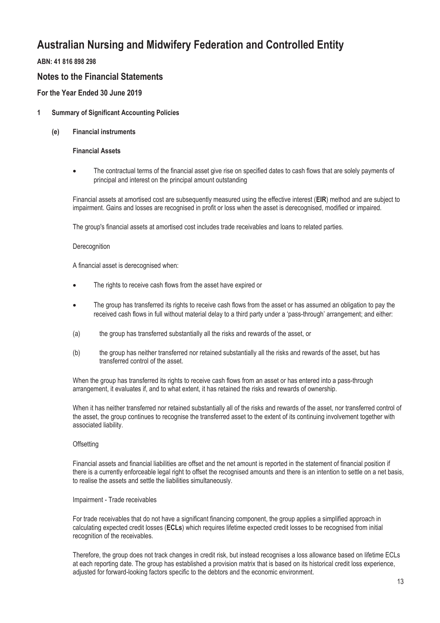**ABN: 41 816 898 298**

# **Notes to the Financial Statements**

### **For the Year Ended 30 June 2019**

### **1 Summary of Significant Accounting Policies**

### **(e) Financial instruments**

### **Financial Assets**

 The contractual terms of the financial asset give rise on specified dates to cash flows that are solely payments of principal and interest on the principal amount outstanding

Financial assets at amortised cost are subsequently measured using the effective interest (**EIR**) method and are subject to impairment. Gains and losses are recognised in profit or loss when the asset is derecognised, modified or impaired,

The group's financial assets at amortised cost includes trade receivables and loans to related parties.

#### **Derecognition**

A financial asset is derecognised when:

- The rights to receive cash flows from the asset have expired or
- The group has transferred its rights to receive cash flows from the asset or has assumed an obligation to pay the received cash flows in full without material delay to a third party under a 'pass-through' arrangement; and either:
- (a) the group has transferred substantially all the risks and rewards of the asset, or
- (b) the group has neither transferred nor retained substantially all the risks and rewards of the asset, but has transferred control of the asset.

When the group has transferred its rights to receive cash flows from an asset or has entered into a pass-through arrangement, it evaluates if, and to what extent, it has retained the risks and rewards of ownership.

When it has neither transferred nor retained substantially all of the risks and rewards of the asset, nor transferred control of the asset, the group continues to recognise the transferred asset to the extent of its continuing involvement together with associated liability.

#### **Offsetting**

Financial assets and financial liabilities are offset and the net amount is reported in the statement of financial position if there is a currently enforceable legal right to offset the recognised amounts and there is an intention to settle on a net basis, to realise the assets and settle the liabilities simultaneously.

#### Impairment - Trade receivables

For trade receivables that do not have a significant financing component, the group applies a simplified approach in calculating expected credit losses (**ECLs**) which requires lifetime expected credit losses to be recognised from initial recognition of the receivables.

Therefore, the group does not track changes in credit risk, but instead recognises a loss allowance based on lifetime ECLs at each reporting date. The group has established a provision matrix that is based on its historical credit loss experience, adjusted for forward-looking factors specific to the debtors and the economic environment.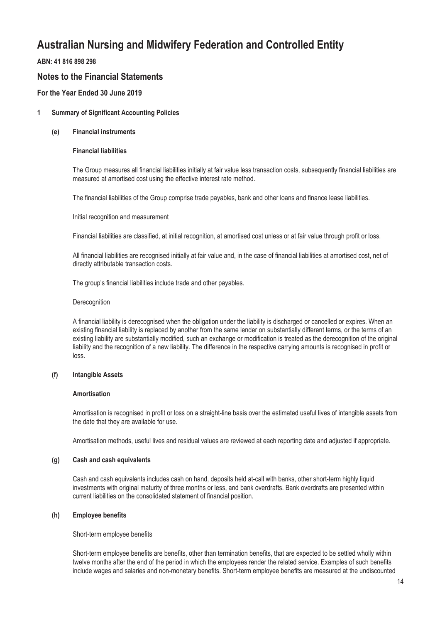**ABN: 41 816 898 298**

# **Notes to the Financial Statements**

### **For the Year Ended 30 June 2019**

### **1 Summary of Significant Accounting Policies**

**(e) Financial instruments**

**Financial liabilities**

The Group measures all financial liabilities initially at fair value less transaction costs, subsequently financial liabilities are measured at amortised cost using the effective interest rate method.

The financial liabilities of the Group comprise trade payables, bank and other loans and finance lease liabilities.

Initial recognition and measurement

Financial liabilities are classified, at initial recognition, at amortised cost unless or at fair value through profit or loss.

All financial liabilities are recognised initially at fair value and, in the case of financial liabilities at amortised cost, net of directly attributable transaction costs.

The group's financial liabilities include trade and other payables.

#### Derecognition

A financial liability is derecognised when the obligation under the liability is discharged or cancelled or expires. When an existing financial liability is replaced by another from the same lender on substantially different terms, or the terms of an existing liability are substantially modified, such an exchange or modification is treated as the derecognition of the original liability and the recognition of a new liability. The difference in the respective carrying amounts is recognised in profit or loss.

#### **(f) Intangible Assets**

#### **Amortisation**

Amortisation is recognised in profit or loss on a straight-line basis over the estimated useful lives of intangible assets from the date that they are available for use.

Amortisation methods, useful lives and residual values are reviewed at each reporting date and adjusted if appropriate.

#### **(g) Cash and cash equivalents**

Cash and cash equivalents includes cash on hand, deposits held at-call with banks, other short-term highly liquid investments with original maturity of three months or less, and bank overdrafts. Bank overdrafts are presented within current liabilities on the consolidated statement of financial position.

#### **(h) Employee benefits**

Short-term employee benefits

Short-term employee benefits are benefits, other than termination benefits, that are expected to be settled wholly within twelve months after the end of the period in which the employees render the related service. Examples of such benefits include wages and salaries and non-monetary benefits. Short-term employee benefits are measured at the undiscounted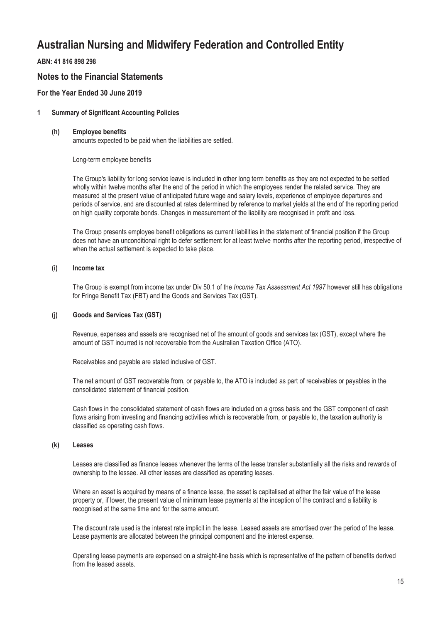**ABN: 41 816 898 298**

# **Notes to the Financial Statements**

**For the Year Ended 30 June 2019**

### **1 Summary of Significant Accounting Policies**

#### **(h) Employee benefits** amounts expected to be paid when the liabilities are settled.

Long-term employee benefits

The Group's liability for long service leave is included in other long term benefits as they are not expected to be settled wholly within twelve months after the end of the period in which the employees render the related service. They are measured at the present value of anticipated future wage and salary levels, experience of employee departures and periods of service, and are discounted at rates determined by reference to market yields at the end of the reporting period on high quality corporate bonds. Changes in measurement of the liability are recognised in profit and loss.

The Group presents employee benefit obligations as current liabilities in the statement of financial position if the Group does not have an unconditional right to defer settlement for at least twelve months after the reporting period, irrespective of when the actual settlement is expected to take place.

### **(i) Income tax**

The Group is exempt from income tax under Div 50.1 of the *Income Tax Assessment Act 1997* however still has obligations for Fringe Benefit Tax (FBT) and the Goods and Services Tax (GST).

### **(j) Goods and Services Tax (GST)**

Revenue, expenses and assets are recognised net of the amount of goods and services tax (GST), except where the amount of GST incurred is not recoverable from the Australian Taxation Office (ATO).

Receivables and payable are stated inclusive of GST.

The net amount of GST recoverable from, or payable to, the ATO is included as part of receivables or payables in the consolidated statement of financial position.

Cash flows in the consolidated statement of cash flows are included on a gross basis and the GST component of cash flows arising from investing and financing activities which is recoverable from, or payable to, the taxation authority is classified as operating cash flows.

#### **(k) Leases**

Leases are classified as finance leases whenever the terms of the lease transfer substantially all the risks and rewards of ownership to the lessee. All other leases are classified as operating leases.

Where an asset is acquired by means of a finance lease, the asset is capitalised at either the fair value of the lease property or, if lower, the present value of minimum lease payments at the inception of the contract and a liability is recognised at the same time and for the same amount.

The discount rate used is the interest rate implicit in the lease. Leased assets are amortised over the period of the lease. Lease payments are allocated between the principal component and the interest expense.

Operating lease payments are expensed on a straight-line basis which is representative of the pattern of benefits derived from the leased assets.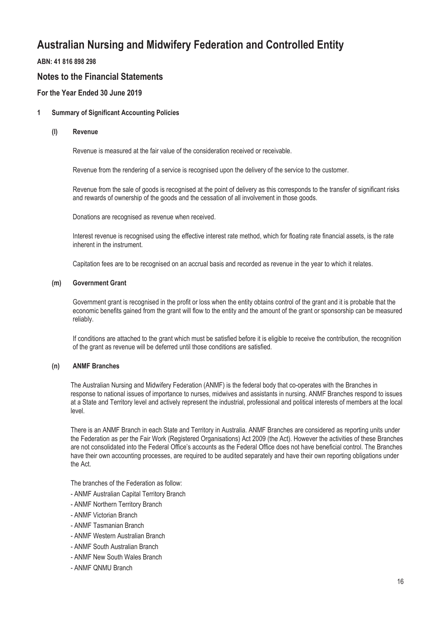**ABN: 41 816 898 298**

# **Notes to the Financial Statements**

## **For the Year Ended 30 June 2019**

### **1 Summary of Significant Accounting Policies**

**(l) Revenue**

Revenue is measured at the fair value of the consideration received or receivable.

Revenue from the rendering of a service is recognised upon the delivery of the service to the customer.

Revenue from the sale of goods is recognised at the point of delivery as this corresponds to the transfer of significant risks and rewards of ownership of the goods and the cessation of all involvement in those goods.

Donations are recognised as revenue when received.

Interest revenue is recognised using the effective interest rate method, which for floating rate financial assets, is the rate inherent in the instrument.

Capitation fees are to be recognised on an accrual basis and recorded as revenue in the year to which it relates.

#### **(m) Government Grant**

Government grant is recognised in the profit or loss when the entity obtains control of the grant and it is probable that the economic benefits gained from the grant will flow to the entity and the amount of the grant or sponsorship can be measured reliably.

If conditions are attached to the grant which must be satisfied before it is eligible to receive the contribution, the recognition of the grant as revenue will be deferred until those conditions are satisfied.

### **(n) ANMF Branches**

The Australian Nursing and Midwifery Federation (ANMF) is the federal body that co-operates with the Branches in response to national issues of importance to nurses, midwives and assistants in nursing. ANMF Branches respond to issues at a State and Territory level and actively represent the industrial, professional and political interests of members at the local level.

There is an ANMF Branch in each State and Territory in Australia. ANMF Branches are considered as reporting units under the Federation as per the Fair Work (Registered Organisations) Act 2009 (the Act). However the activities of these Branches are not consolidated into the Federal Office's accounts as the Federal Office does not have beneficial control. The Branches have their own accounting processes, are required to be audited separately and have their own reporting obligations under the Act.

The branches of the Federation as follow:

- ANMF Australian Capital Territory Branch
- ANMF Northern Territory Branch
- ANMF Victorian Branch
- ANMF Tasmanian Branch
- ANMF Western Australian Branch
- ANMF South Australian Branch
- ANMF New South Wales Branch
- ANMF QNMU Branch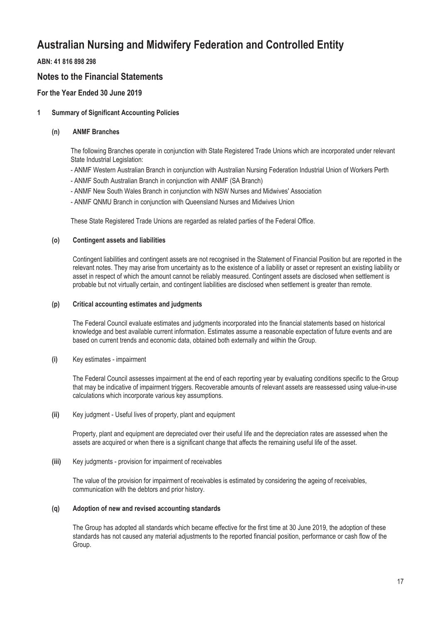**ABN: 41 816 898 298**

# **Notes to the Financial Statements**

## **For the Year Ended 30 June 2019**

### **1 Summary of Significant Accounting Policies**

### **(n) ANMF Branches**

The following Branches operate in conjunction with State Registered Trade Unions which are incorporated under relevant State Industrial Legislation:

- ANMF Western Australian Branch in conjunction with Australian Nursing Federation Industrial Union of Workers Perth
- ANMF South Australian Branch in conjunction with ANMF (SA Branch)
- ANMF New South Wales Branch in conjunction with NSW Nurses and Midwives' Association
- ANMF QNMU Branch in conjunction with Queensland Nurses and Midwives Union

These State Registered Trade Unions are regarded as related parties of the Federal Office.

### **(o) Contingent assets and liabilities**

Contingent liabilities and contingent assets are not recognised in the Statement of Financial Position but are reported in the relevant notes. They may arise from uncertainty as to the existence of a liability or asset or represent an existing liability or asset in respect of which the amount cannot be reliably measured. Contingent assets are disclosed when settlement is probable but not virtually certain, and contingent liabilities are disclosed when settlement is greater than remote.

### **(p) Critical accounting estimates and judgments**

The Federal Council evaluate estimates and judgments incorporated into the financial statements based on historical knowledge and best available current information. Estimates assume a reasonable expectation of future events and are based on current trends and economic data, obtained both externally and within the Group.

### **(i)** Key estimates - impairment

The Federal Council assesses impairment at the end of each reporting year by evaluating conditions specific to the Group that may be indicative of impairment triggers. Recoverable amounts of relevant assets are reassessed using value-in-use calculations which incorporate various key assumptions.

**(ii)** Key judgment - Useful lives of property, plant and equipment

Property, plant and equipment are depreciated over their useful life and the depreciation rates are assessed when the assets are acquired or when there is a significant change that affects the remaining useful life of the asset.

**(iii)** Key judgments - provision for impairment of receivables

The value of the provision for impairment of receivables is estimated by considering the ageing of receivables, communication with the debtors and prior history.

#### **(q) Adoption of new and revised accounting standards**

The Group has adopted all standards which became effective for the first time at 30 June 2019, the adoption of these standards has not caused any material adjustments to the reported financial position, performance or cash flow of the Group.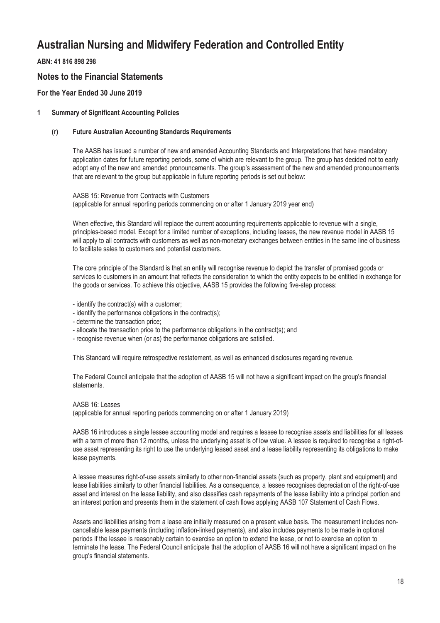**ABN: 41 816 898 298**

# **Notes to the Financial Statements**

## **For the Year Ended 30 June 2019**

### **1 Summary of Significant Accounting Policies**

### **(r) Future Australian Accounting Standards Requirements**

The AASB has issued a number of new and amended Accounting Standards and Interpretations that have mandatory application dates for future reporting periods, some of which are relevant to the group. The group has decided not to early adopt any of the new and amended pronouncements. The group's assessment of the new and amended pronouncements that are relevant to the group but applicable in future reporting periods is set out below:

AASB 15: Revenue from Contracts with Customers (applicable for annual reporting periods commencing on or after 1 January 2019 year end)

When effective, this Standard will replace the current accounting requirements applicable to revenue with a single, principles-based model. Except for a limited number of exceptions, including leases, the new revenue model in AASB 15 will apply to all contracts with customers as well as non-monetary exchanges between entities in the same line of business to facilitate sales to customers and potential customers.

The core principle of the Standard is that an entity will recognise revenue to depict the transfer of promised goods or services to customers in an amount that reflects the consideration to which the entity expects to be entitled in exchange for the goods or services. To achieve this objective, AASB 15 provides the following five-step process:

- identify the contract(s) with a customer;
- identify the performance obligations in the contract(s);
- determine the transaction price;
- allocate the transaction price to the performance obligations in the contract(s); and
- recognise revenue when (or as) the performance obligations are satisfied.

This Standard will require retrospective restatement, as well as enhanced disclosures regarding revenue.

The Federal Council anticipate that the adoption of AASB 15 will not have a significant impact on the group's financial statements.

#### AASB 16: Leases

(applicable for annual reporting periods commencing on or after 1 January 2019)

AASB 16 introduces a single lessee accounting model and requires a lessee to recognise assets and liabilities for all leases with a term of more than 12 months, unless the underlying asset is of low value. A lessee is required to recognise a right-ofuse asset representing its right to use the underlying leased asset and a lease liability representing its obligations to make lease payments.

A lessee measures right-of-use assets similarly to other non-financial assets (such as property, plant and equipment) and lease liabilities similarly to other financial liabilities. As a consequence, a lessee recognises depreciation of the right-of-use asset and interest on the lease liability, and also classifies cash repayments of the lease liability into a principal portion and an interest portion and presents them in the statement of cash flows applying AASB 107 Statement of Cash Flows.

Assets and liabilities arising from a lease are initially measured on a present value basis. The measurement includes noncancellable lease payments (including inflation-linked payments), and also includes payments to be made in optional periods if the lessee is reasonably certain to exercise an option to extend the lease, or not to exercise an option to terminate the lease. The Federal Council anticipate that the adoption of AASB 16 will not have a significant impact on the group's financial statements.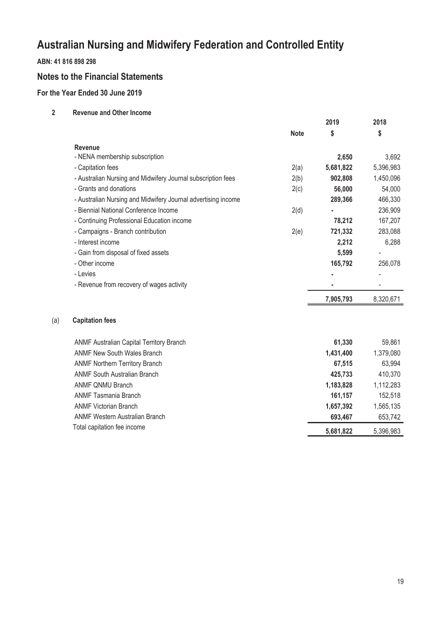### **ABN: 41 816 898 298**

(a) **Capitation fees**

# **Notes to the Financial Statements**

# **For the Year Ended 30 June 2019**

## **2 Revenue and Other Income**

|                                                               |             | 2019      | 2018      |
|---------------------------------------------------------------|-------------|-----------|-----------|
|                                                               | <b>Note</b> | \$        | \$        |
| <b>Revenue</b>                                                |             |           |           |
| - NENA membership subscription                                |             | 2,650     | 3,692     |
| - Capitation fees                                             | 2(a)        | 5,681,822 | 5,396,983 |
| - Australian Nursing and Midwifery Journal subscription fees  | 2(b)        | 902,808   | 1,450,096 |
| - Grants and donations                                        | 2(c)        | 56,000    | 54,000    |
| - Australian Nursing and Midwifery Journal advertising income |             | 289,366   | 466,330   |
| - Biennial National Conference Income                         | 2(d)        |           | 236,909   |
| - Continuing Professional Education income                    |             | 78,212    | 167,207   |
| - Campaigns - Branch contribution                             | 2(e)        | 721,332   | 283,088   |
| - Interest income                                             |             | 2,212     | 6,288     |
| - Gain from disposal of fixed assets                          |             | 5,599     |           |
| - Other income                                                |             | 165,792   | 256,078   |
| - Levies                                                      |             |           |           |
| - Revenue from recovery of wages activity                     |             |           |           |
|                                                               |             | 7,905,793 | 8,320,671 |
| <b>Capitation fees</b>                                        |             |           |           |
| <b>ANMF Australian Capital Territory Branch</b>               |             | 61,330    | 59,861    |
| <b>ANMF New South Wales Branch</b>                            |             | 1,431,400 | 1,379,080 |
| <b>ANMF Northern Territory Branch</b>                         |             | 67,515    | 63,994    |
| <b>ANMF South Australian Branch</b>                           |             | 425,733   | 410,370   |
| <b>ANMF QNMU Branch</b>                                       |             | 1,183,828 | 1,112,283 |
| <b>ANMF Tasmania Branch</b>                                   |             | 161,157   | 152,518   |
| <b>ANMF Victorian Branch</b>                                  |             | 1,657,392 | 1,565,135 |
| <b>ANMF Western Australian Branch</b>                         |             | 693,467   | 653,742   |
| Total capitation fee income                                   |             | 5,681,822 | 5,396,983 |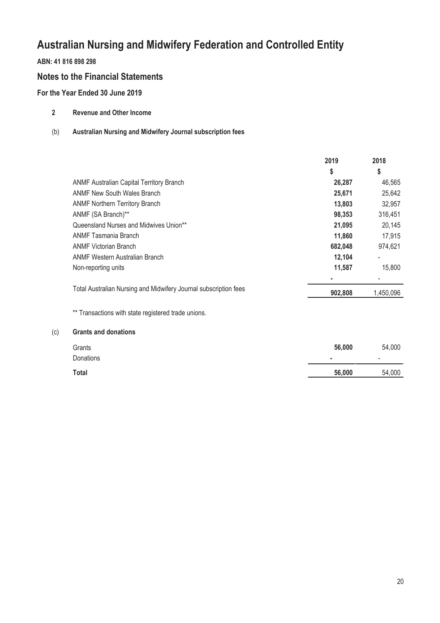### **ABN: 41 816 898 298**

(c) **Grants and donations**

# **Notes to the Financial Statements**

# **For the Year Ended 30 June 2019**

**2 Revenue and Other Income**

### (b) **Australian Nursing and Midwifery Journal subscription fees**

|                                                                  | 2019    | 2018      |
|------------------------------------------------------------------|---------|-----------|
|                                                                  | \$      | \$        |
| <b>ANMF Australian Capital Territory Branch</b>                  | 26,287  | 46,565    |
| <b>ANMF New South Wales Branch</b>                               | 25,671  | 25,642    |
| <b>ANMF Northern Territory Branch</b>                            | 13,803  | 32,957    |
| ANMF (SA Branch)**                                               | 98,353  | 316,451   |
| Queensland Nurses and Midwives Union**                           | 21,095  | 20,145    |
| ANMF Tasmania Branch                                             | 11,860  | 17,915    |
| <b>ANMF Victorian Branch</b>                                     | 682,048 | 974,621   |
| <b>ANMF Western Australian Branch</b>                            | 12,104  |           |
| Non-reporting units                                              | 11,587  | 15,800    |
|                                                                  |         |           |
| Total Australian Nursing and Midwifery Journal subscription fees | 902,808 | 1,450,096 |
| ** Transactions with state registered trade unions.              |         |           |
| <b>Grants and donations</b>                                      |         |           |
| Grants                                                           | 56,000  | 54,000    |
| Donations                                                        |         |           |
| Total                                                            | 56,000  | 54,000    |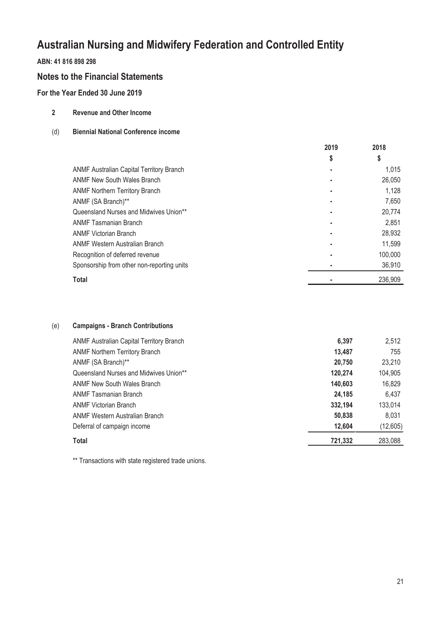## **ABN: 41 816 898 298**

# **Notes to the Financial Statements**

# **For the Year Ended 30 June 2019**

- **2 Revenue and Other Income**
- (d) **Biennial National Conference income**

|                                                 | 2019 | 2018    |  |
|-------------------------------------------------|------|---------|--|
|                                                 | \$   | \$      |  |
| <b>ANMF Australian Capital Territory Branch</b> |      | 1.015   |  |
| <b>ANMF New South Wales Branch</b>              |      | 26,050  |  |
| <b>ANMF Northern Territory Branch</b>           |      | 1,128   |  |
| ANMF (SA Branch)**                              |      | 7,650   |  |
| Queensland Nurses and Midwives Union**          |      | 20,774  |  |
| <b>ANMF Tasmanian Branch</b>                    |      | 2,851   |  |
| <b>ANMF Victorian Branch</b>                    |      | 28,932  |  |
| ANMF Western Australian Branch                  |      | 11,599  |  |
| Recognition of deferred revenue                 |      | 100,000 |  |
| Sponsorship from other non-reporting units      |      | 36,910  |  |
| Total                                           |      | 236,909 |  |

### (e) **Campaigns - Branch Contributions**

| <b>ANMF Australian Capital Territory Branch</b> | 6,397   | 2,512    |
|-------------------------------------------------|---------|----------|
| <b>ANMF Northern Territory Branch</b>           | 13,487  | 755      |
| ANMF (SA Branch)**                              | 20,750  | 23,210   |
| Queensland Nurses and Midwives Union**          | 120.274 | 104,905  |
| <b>ANMF New South Wales Branch</b>              | 140,603 | 16,829   |
| <b>ANMF Tasmanian Branch</b>                    | 24.185  | 6,437    |
| <b>ANMF Victorian Branch</b>                    | 332,194 | 133,014  |
| ANMF Western Australian Branch                  | 50,838  | 8,031    |
| Deferral of campaign income                     | 12.604  | (12,605) |
| Total                                           | 721,332 | 283,088  |

\*\* Transactions with state registered trade unions.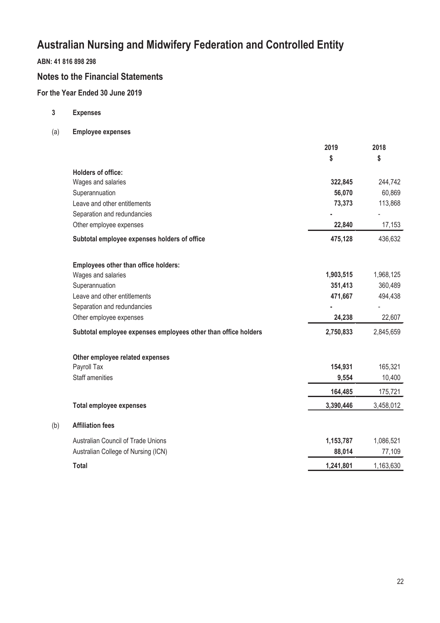### **ABN: 41 816 898 298**

# **Notes to the Financial Statements**

## **For the Year Ended 30 June 2019**

**3 Expenses**

(b) **Affiliation fees**

(a) **Employee expenses**

|                                                                | 2019      | 2018      |
|----------------------------------------------------------------|-----------|-----------|
|                                                                | \$        | \$        |
| Holders of office:                                             |           |           |
| Wages and salaries                                             | 322,845   | 244,742   |
| Superannuation                                                 | 56,070    | 60,869    |
| Leave and other entitlements                                   | 73,373    | 113,868   |
| Separation and redundancies                                    |           |           |
| Other employee expenses                                        | 22,840    | 17,153    |
| Subtotal employee expenses holders of office                   | 475,128   | 436,632   |
| <b>Employees other than office holders:</b>                    |           |           |
| Wages and salaries                                             | 1,903,515 | 1,968,125 |
| Superannuation                                                 | 351,413   | 360,489   |
| Leave and other entitlements                                   | 471,667   | 494,438   |
| Separation and redundancies                                    |           |           |
| Other employee expenses                                        | 24,238    | 22,607    |
| Subtotal employee expenses employees other than office holders | 2,750,833 | 2,845,659 |
| Other employee related expenses                                |           |           |
| Payroll Tax                                                    | 154,931   | 165,321   |
| <b>Staff amenities</b>                                         | 9,554     | 10,400    |
|                                                                | 164,485   | 175,721   |
| <b>Total employee expenses</b>                                 | 3,390,446 | 3,458,012 |
| <b>Affiliation fees</b>                                        |           |           |
| Australian Council of Trade Unions                             | 1,153,787 | 1,086,521 |
| Australian College of Nursing (ICN)                            | 88,014    | 77,109    |
| <b>Total</b>                                                   | 1,241,801 | 1,163,630 |
|                                                                |           |           |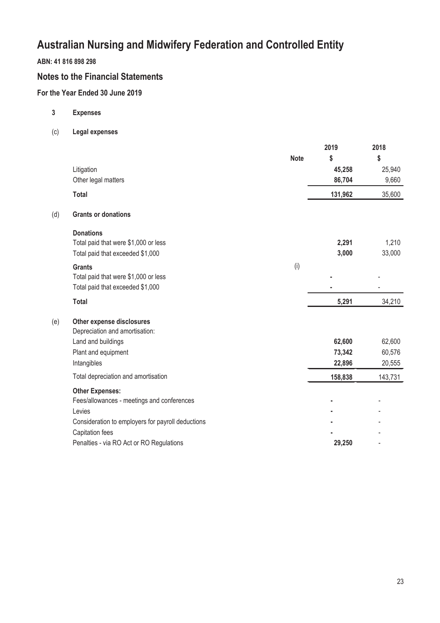### **ABN: 41 816 898 298**

# **Notes to the Financial Statements**

## **For the Year Ended 30 June 2019**

- **3 Expenses**
- (c) **Legal expenses**

|     |                                                   |             | 2019    | 2018    |
|-----|---------------------------------------------------|-------------|---------|---------|
|     |                                                   | <b>Note</b> | \$      | \$      |
|     | Litigation                                        |             | 45,258  | 25,940  |
|     | Other legal matters                               |             | 86,704  | 9,660   |
|     | <b>Total</b>                                      |             | 131,962 | 35,600  |
| (d) | <b>Grants or donations</b>                        |             |         |         |
|     | <b>Donations</b>                                  |             |         |         |
|     | Total paid that were \$1,000 or less              |             | 2,291   | 1,210   |
|     | Total paid that exceeded \$1,000                  |             | 3,000   | 33,000  |
|     | <b>Grants</b>                                     | (i)         |         |         |
|     | Total paid that were \$1,000 or less              |             |         |         |
|     | Total paid that exceeded \$1,000                  |             |         |         |
|     | <b>Total</b>                                      |             | 5,291   | 34,210  |
| (e) | Other expense disclosures                         |             |         |         |
|     | Depreciation and amortisation:                    |             |         |         |
|     | Land and buildings                                |             | 62,600  | 62,600  |
|     | Plant and equipment                               |             | 73,342  | 60,576  |
|     | Intangibles                                       |             | 22,896  | 20,555  |
|     | Total depreciation and amortisation               |             | 158,838 | 143,731 |
|     | <b>Other Expenses:</b>                            |             |         |         |
|     | Fees/allowances - meetings and conferences        |             |         |         |
|     | Levies                                            |             |         |         |
|     | Consideration to employers for payroll deductions |             |         |         |
|     | Capitation fees                                   |             |         |         |
|     | Penalties - via RO Act or RO Regulations          |             | 29,250  |         |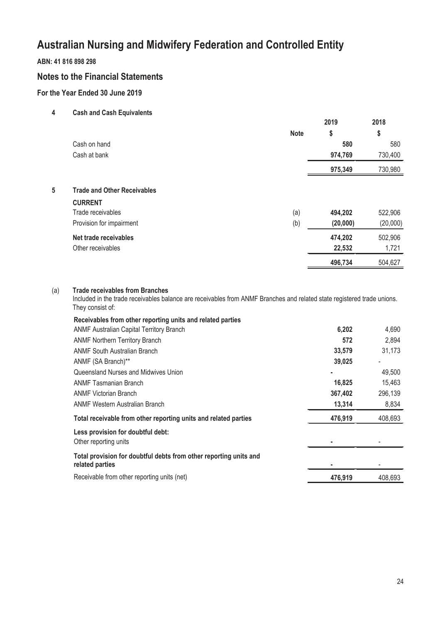### **ABN: 41 816 898 298**

# **Notes to the Financial Statements**

## **For the Year Ended 30 June 2019**

**4 Cash and Cash Equivalents**

|   |                                    |             | 2019     | 2018     |
|---|------------------------------------|-------------|----------|----------|
|   |                                    | <b>Note</b> | \$       | \$       |
|   | Cash on hand                       |             | 580      | 580      |
|   | Cash at bank                       |             | 974,769  | 730,400  |
|   |                                    |             | 975,349  | 730,980  |
| 5 | <b>Trade and Other Receivables</b> |             |          |          |
|   | <b>CURRENT</b>                     |             |          |          |
|   | Trade receivables                  | (a)         | 494,202  | 522,906  |
|   | Provision for impairment           | (b)         | (20,000) | (20,000) |
|   | Net trade receivables              |             | 474,202  | 502,906  |
|   | Other receivables                  |             | 22,532   | 1,721    |
|   |                                    |             | 496,734  | 504,627  |

#### (a) **Trade receivables from Branches**

Included in the trade receivables balance are receivables from ANMF Branches and related state registered trade unions. They consist of:

| Receivables from other reporting units and related parties                           |         |         |
|--------------------------------------------------------------------------------------|---------|---------|
| <b>ANMF Australian Capital Territory Branch</b>                                      | 6,202   | 4,690   |
| <b>ANMF Northern Territory Branch</b>                                                | 572     | 2,894   |
| <b>ANMF South Australian Branch</b>                                                  | 33,579  | 31,173  |
| ANMF (SA Branch)**                                                                   | 39,025  |         |
| Queensland Nurses and Midwives Union                                                 |         | 49,500  |
| <b>ANMF Tasmanian Branch</b>                                                         | 16,825  | 15,463  |
| <b>ANMF Victorian Branch</b>                                                         | 367,402 | 296,139 |
| ANMF Western Australian Branch                                                       | 13,314  | 8,834   |
| Total receivable from other reporting units and related parties                      | 476,919 | 408,693 |
| Less provision for doubtful debt:                                                    |         |         |
| Other reporting units                                                                |         |         |
| Total provision for doubtful debts from other reporting units and<br>related parties |         |         |
| Receivable from other reporting units (net)                                          | 476.919 | 408.693 |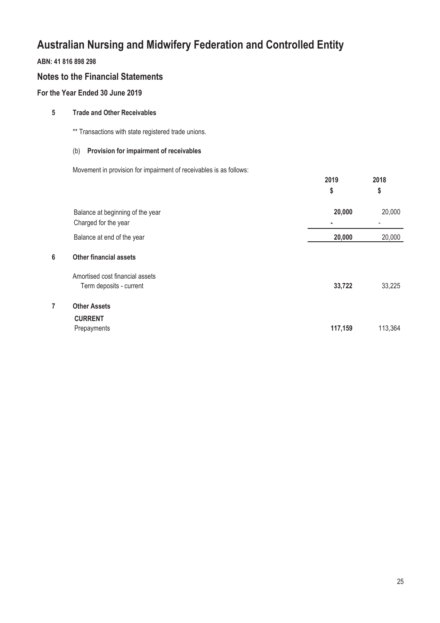## **ABN: 41 816 898 298**

# **Notes to the Financial Statements**

# **For the Year Ended 30 June 2019**

### **5 Trade and Other Receivables**

\*\* Transactions with state registered trade unions.

## (b) **Provision for impairment of receivables**

Movement in provision for impairment of receivables is as follows:

|   |                                                            | 2019<br>\$  | 2018<br>\$                         |
|---|------------------------------------------------------------|-------------|------------------------------------|
|   | Balance at beginning of the year<br>Charged for the year   | 20,000<br>٠ | 20,000<br>$\overline{\phantom{a}}$ |
|   | Balance at end of the year                                 | 20,000      | 20,000                             |
| 6 | <b>Other financial assets</b>                              |             |                                    |
|   | Amortised cost financial assets<br>Term deposits - current | 33,722      | 33,225                             |
| 7 | <b>Other Assets</b>                                        |             |                                    |
|   | <b>CURRENT</b><br>Prepayments                              | 117,159     | 113,364                            |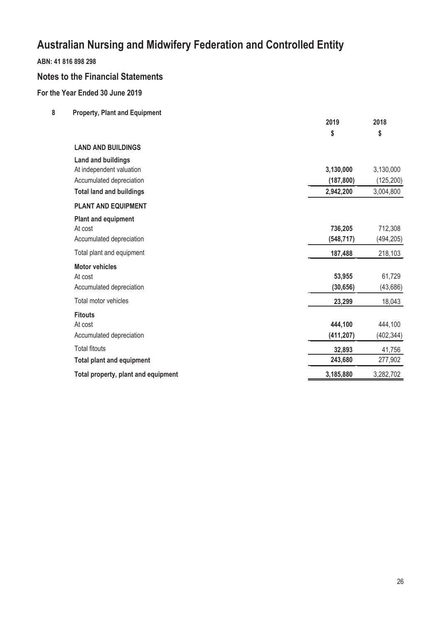### **ABN: 41 816 898 298**

# **Notes to the Financial Statements**

# **For the Year Ended 30 June 2019**

**8 Property, Plant and Equipment**

|                                     | 2019       | 2018       |
|-------------------------------------|------------|------------|
|                                     | \$         | \$         |
| <b>LAND AND BUILDINGS</b>           |            |            |
| <b>Land and buildings</b>           |            |            |
| At independent valuation            | 3,130,000  | 3,130,000  |
| Accumulated depreciation            | (187, 800) | (125, 200) |
| <b>Total land and buildings</b>     | 2,942,200  | 3,004,800  |
| <b>PLANT AND EQUIPMENT</b>          |            |            |
| <b>Plant and equipment</b>          |            |            |
| At cost                             | 736,205    | 712,308    |
| Accumulated depreciation            | (548, 717) | (494, 205) |
| Total plant and equipment           | 187,488    | 218,103    |
| <b>Motor vehicles</b>               |            |            |
| At cost                             | 53,955     | 61,729     |
| Accumulated depreciation            | (30, 656)  | (43, 686)  |
| Total motor vehicles                | 23,299     | 18,043     |
| <b>Fitouts</b>                      |            |            |
| At cost                             | 444,100    | 444,100    |
| Accumulated depreciation            | (411, 207) | (402, 344) |
| <b>Total fitouts</b>                | 32,893     | 41,756     |
| <b>Total plant and equipment</b>    | 243,680    | 277,902    |
| Total property, plant and equipment | 3,185,880  | 3,282,702  |
|                                     |            |            |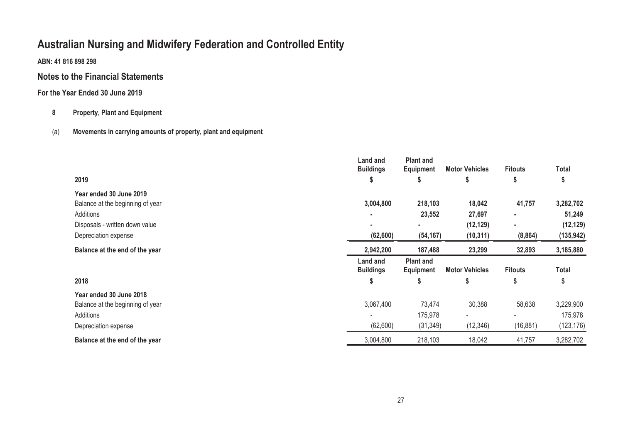**ABN: 41 816 898 298**

# **Notes to the Financial Statements**

## **For the Year Ended 30 June 2019**

## **8 Property, Plant and Equipment**

# (a) **Movements in carrying amounts of property, plant and equipment**

| 2019                             | Land and<br><b>Buildings</b><br>J   | <b>Plant and</b><br><b>Equipment</b><br>\$ | <b>Motor Vehicles</b><br>G | <b>Fitouts</b><br>P | <b>Total</b><br>ъ |
|----------------------------------|-------------------------------------|--------------------------------------------|----------------------------|---------------------|-------------------|
| Year ended 30 June 2019          |                                     |                                            |                            |                     |                   |
| Balance at the beginning of year | 3,004,800                           | 218,103                                    | 18,042                     | 41,757              | 3,282,702         |
| Additions                        |                                     | 23,552                                     | 27,697                     | ٠                   | 51,249            |
| Disposals - written down value   |                                     |                                            | (12, 129)                  | ٠                   | (12, 129)         |
| Depreciation expense             | (62, 600)                           | (54, 167)                                  | (10, 311)                  | (8, 864)            | (135, 942)        |
| Balance at the end of the year   | 2,942,200                           | 187,488                                    | 23,299                     | 32,893              | 3,185,880         |
|                                  | <b>Land and</b><br><b>Buildings</b> | <b>Plant and</b><br><b>Equipment</b>       | <b>Motor Vehicles</b>      | <b>Fitouts</b>      | <b>Total</b>      |
| 2018                             | d                                   | \$                                         | C                          | S                   | P                 |
| Year ended 30 June 2018          |                                     |                                            |                            |                     |                   |
| Balance at the beginning of year | 3,067,400                           | 73,474                                     | 30,388                     | 58,638              | 3,229,900         |
| Additions                        |                                     | 175,978                                    | $\overline{\phantom{0}}$   |                     | 175,978           |
| Depreciation expense             | (62,600)                            | (31, 349)                                  | (12, 346)                  | (16, 881)           | (123, 176)        |
| Balance at the end of the year   | 3,004,800                           | 218,103                                    | 18,042                     | 41,757              | 3,282,702         |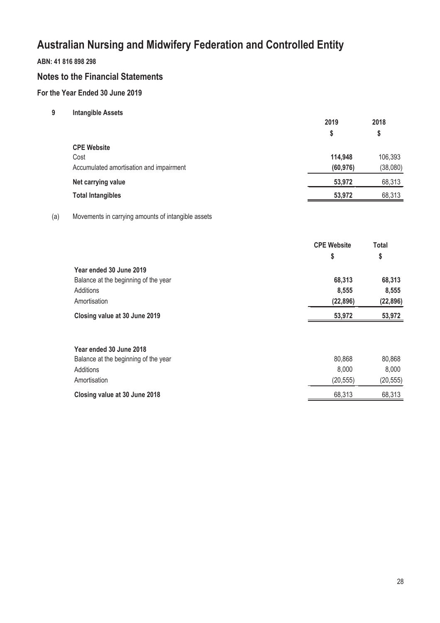### **ABN: 41 816 898 298**

# **Notes to the Financial Statements**

# **For the Year Ended 30 June 2019**

**9 Intangible Assets**

|                                         | 2019      | 2018     |
|-----------------------------------------|-----------|----------|
|                                         | S         | \$       |
| <b>CPE Website</b>                      |           |          |
| Cost                                    | 114,948   | 106,393  |
| Accumulated amortisation and impairment | (60, 976) | (38,080) |
| Net carrying value                      | 53,972    | 68,313   |
| <b>Total Intangibles</b>                | 53,972    | 68,313   |

### (a) Movements in carrying amounts of intangible assets

|                                      | <b>CPE Website</b> | Total     |
|--------------------------------------|--------------------|-----------|
|                                      | \$                 | \$        |
| Year ended 30 June 2019              |                    |           |
| Balance at the beginning of the year | 68,313             | 68,313    |
| Additions                            | 8,555              | 8,555     |
| Amortisation                         | (22, 896)          | (22, 896) |
| Closing value at 30 June 2019        | 53,972             | 53,972    |
|                                      |                    |           |
| Year ended 30 June 2018              |                    |           |
| Balance at the beginning of the year | 80,868             | 80,868    |
| Additions                            | 8,000              | 8,000     |
| Amortisation                         | (20, 555)          | (20, 555) |
| Closing value at 30 June 2018        | 68,313             | 68,313    |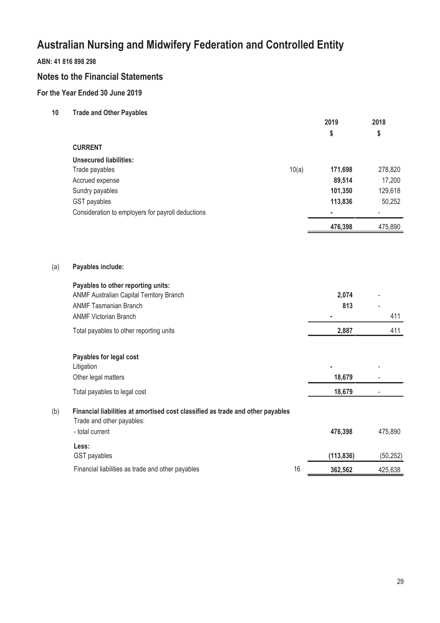## **ABN: 41 816 898 298**

# **Notes to the Financial Statements**

# **For the Year Ended 30 June 2019**

**10 Trade and Other Payables**

|     |                                                                                                             | 2019<br>\$ | 2018<br>\$ |
|-----|-------------------------------------------------------------------------------------------------------------|------------|------------|
|     | <b>CURRENT</b>                                                                                              |            |            |
|     | <b>Unsecured liabilities:</b>                                                                               |            |            |
|     | 10(a)<br>Trade payables                                                                                     | 171,698    | 278,820    |
|     | Accrued expense                                                                                             | 89,514     | 17,200     |
|     | Sundry payables                                                                                             | 101,350    | 129,618    |
|     | GST payables                                                                                                | 113,836    | 50,252     |
|     | Consideration to employers for payroll deductions                                                           |            |            |
|     |                                                                                                             | 476,398    | 475,890    |
| (a) | Payables include:                                                                                           |            |            |
|     | Payables to other reporting units:                                                                          |            |            |
|     | ANMF Australian Capital Territory Branch                                                                    | 2,074      |            |
|     | <b>ANMF Tasmanian Branch</b>                                                                                | 813        |            |
|     | <b>ANMF Victorian Branch</b>                                                                                |            | 411        |
|     | Total payables to other reporting units                                                                     | 2,887      | 411        |
|     | Payables for legal cost                                                                                     |            |            |
|     | Litigation                                                                                                  |            |            |
|     | Other legal matters                                                                                         | 18,679     |            |
|     | Total payables to legal cost                                                                                | 18,679     | ÷.         |
| (b) | Financial liabilities at amortised cost classified as trade and other payables<br>Trade and other payables: |            |            |
|     | - total current                                                                                             | 476,398    | 475,890    |
|     | Less:<br><b>GST</b> payables                                                                                | (113, 836) | (50, 252)  |
|     |                                                                                                             |            |            |
|     | Financial liabilities as trade and other payables<br>16                                                     | 362,562    | 425,638    |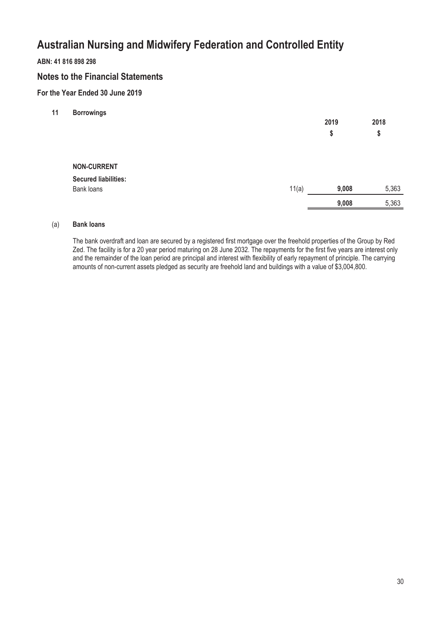### **ABN: 41 816 898 298**

# **Notes to the Financial Statements**

## **For the Year Ended 30 June 2019**

**11 Borrowings**

|                             |       | 2019  | 2018  |
|-----------------------------|-------|-------|-------|
|                             |       | \$    | \$    |
|                             |       |       |       |
| <b>NON-CURRENT</b>          |       |       |       |
| <b>Secured liabilities:</b> |       |       |       |
| Bank loans                  | 11(a) | 9,008 | 5,363 |
|                             |       | 9,008 | 5,363 |

### (a) **Bank loans**

The bank overdraft and loan are secured by a registered first mortgage over the freehold properties of the Group by Red Zed. The facility is for a 20 year period maturing on 28 June 2032. The repayments for the first five years are interest only and the remainder of the loan period are principal and interest with flexibility of early repayment of principle. The carrying amounts of non-current assets pledged as security are freehold land and buildings with a value of \$3,004,800.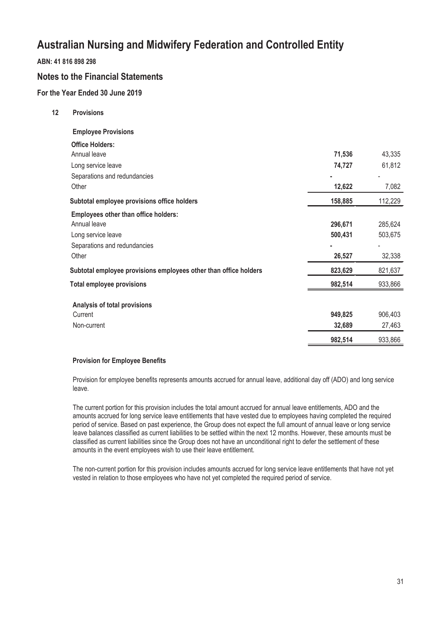### **ABN: 41 816 898 298**

# **Notes to the Financial Statements**

## **For the Year Ended 30 June 2019**

**12 Provisions**

| <b>Employee Provisions</b>                                       |         |         |
|------------------------------------------------------------------|---------|---------|
| <b>Office Holders:</b>                                           |         |         |
| Annual leave                                                     | 71,536  | 43,335  |
| Long service leave                                               | 74,727  | 61,812  |
| Separations and redundancies                                     |         |         |
| Other                                                            | 12,622  | 7,082   |
| Subtotal employee provisions office holders                      | 158,885 | 112,229 |
| <b>Employees other than office holders:</b>                      |         |         |
| Annual leave                                                     | 296,671 | 285,624 |
| Long service leave                                               | 500,431 | 503,675 |
| Separations and redundancies                                     |         |         |
| Other                                                            | 26,527  | 32,338  |
| Subtotal employee provisions employees other than office holders | 823,629 | 821,637 |
| <b>Total employee provisions</b>                                 | 982,514 | 933,866 |
| Analysis of total provisions                                     |         |         |
| Current                                                          | 949,825 | 906,403 |
| Non-current                                                      | 32,689  | 27,463  |
|                                                                  | 982,514 | 933,866 |

#### **Provision for Employee Benefits**

Provision for employee benefits represents amounts accrued for annual leave, additional day off (ADO) and long service leave.

The current portion for this provision includes the total amount accrued for annual leave entitlements, ADO and the amounts accrued for long service leave entitlements that have vested due to employees having completed the required period of service. Based on past experience, the Group does not expect the full amount of annual leave or long service leave balances classified as current liabilities to be settled within the next 12 months. However, these amounts must be classified as current liabilities since the Group does not have an unconditional right to defer the settlement of these amounts in the event employees wish to use their leave entitlement.

The non-current portion for this provision includes amounts accrued for long service leave entitlements that have not yet vested in relation to those employees who have not yet completed the required period of service.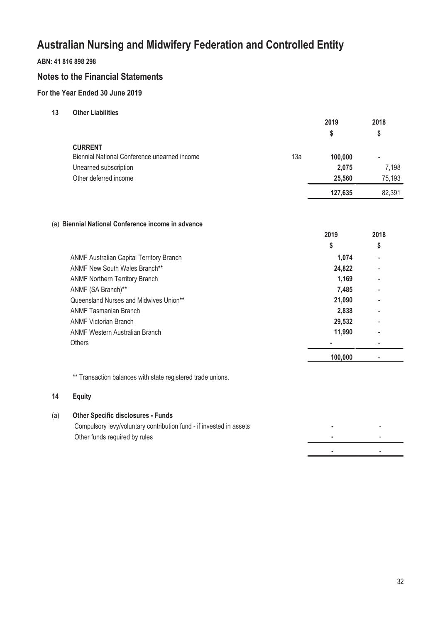## **ABN: 41 816 898 298**

# **Notes to the Financial Statements**

## **For the Year Ended 30 June 2019**

**13 Other Liabilities**

|                                              |     | 2019    | 2018   |  |
|----------------------------------------------|-----|---------|--------|--|
|                                              |     | S       | S      |  |
| <b>CURRENT</b>                               |     |         |        |  |
| Biennial National Conference unearned income | 13a | 100,000 | -      |  |
| Unearned subscription                        |     | 2,075   | 7,198  |  |
| Other deferred income                        |     | 25,560  | 75,193 |  |
|                                              |     | 127,635 | 82,391 |  |

### (a) **Biennial National Conference income in advance**

|                                                 | 2019    | 2018 |
|-------------------------------------------------|---------|------|
|                                                 | \$      | \$   |
| <b>ANMF Australian Capital Territory Branch</b> | 1,074   | ۰    |
| ANMF New South Wales Branch**                   | 24,822  | ٠    |
| <b>ANMF Northern Territory Branch</b>           | 1,169   | ٠    |
| ANMF (SA Branch)**                              | 7,485   | ٠    |
| Queensland Nurses and Midwives Union**          | 21,090  | ٠    |
| <b>ANMF Tasmanian Branch</b>                    | 2,838   | ٠    |
| <b>ANMF Victorian Branch</b>                    | 29,532  | ۰    |
| ANMF Western Australian Branch                  | 11,990  |      |
| Others                                          |         |      |
|                                                 | 100,000 |      |

\*\* Transaction balances with state registered trade unions.

### **14 Equity**

### (a) **Other Specific disclosures - Funds**

Compulsory levy/voluntary contribution fund - if invested in assets **-** - Other funds required by rules **and the set of the set of the set of the set of the set of the set of the set of the set of the set of the set of the set of the set of the set of the set of the set of the set of the set of** 

**-** -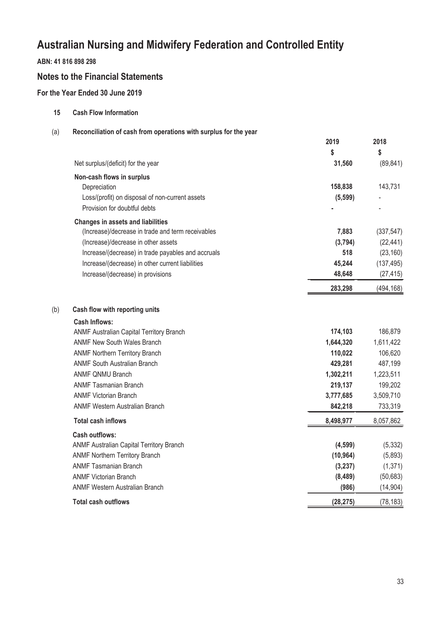### **ABN: 41 816 898 298**

# **Notes to the Financial Statements**

# **For the Year Ended 30 June 2019**

- **15 Cash Flow Information**
- (a) **Reconciliation of cash from operations with surplus for the year**

|     |                                                                  | 2019      | 2018       |
|-----|------------------------------------------------------------------|-----------|------------|
|     |                                                                  | \$        | \$         |
|     | Net surplus/(deficit) for the year                               | 31,560    | (89, 841)  |
|     | Non-cash flows in surplus                                        |           |            |
|     | Depreciation                                                     | 158,838   | 143,731    |
|     | Loss/(profit) on disposal of non-current assets                  | (5, 599)  |            |
|     | Provision for doubtful debts                                     |           |            |
|     | <b>Changes in assets and liabilities</b>                         |           |            |
|     | (Increase)/decrease in trade and term receivables                | 7,883     | (337, 547) |
|     | (Increase)/decrease in other assets                              | (3,794)   | (22, 441)  |
|     | Increase/(decrease) in trade payables and accruals               | 518       | (23, 160)  |
|     | Increase/(decrease) in other current liabilities                 | 45,244    | (137, 495) |
|     | Increase/(decrease) in provisions                                | 48,648    | (27, 415)  |
|     |                                                                  | 283,298   | (494, 168) |
|     |                                                                  |           |            |
| (b) | Cash flow with reporting units                                   |           |            |
|     | <b>Cash Inflows:</b><br>ANMF Australian Capital Territory Branch | 174,103   | 186,879    |
|     | <b>ANMF New South Wales Branch</b>                               | 1,644,320 | 1,611,422  |
|     | <b>ANMF Northern Territory Branch</b>                            | 110,022   | 106,620    |
|     | <b>ANMF South Australian Branch</b>                              | 429,281   | 487,199    |
|     | <b>ANMF QNMU Branch</b>                                          | 1,302,211 | 1,223,511  |
|     | <b>ANMF Tasmanian Branch</b>                                     | 219,137   | 199,202    |
|     | <b>ANMF Victorian Branch</b>                                     | 3,777,685 | 3,509,710  |
|     | <b>ANMF Western Australian Branch</b>                            | 842,218   | 733,319    |
|     | <b>Total cash inflows</b>                                        | 8,498,977 | 8,057,862  |
|     | <b>Cash outflows:</b>                                            |           |            |
|     | ANMF Australian Capital Territory Branch                         | (4, 599)  | (5, 332)   |
|     | <b>ANMF Northern Territory Branch</b>                            | (10, 964) | (5,893)    |
|     | <b>ANMF Tasmanian Branch</b>                                     | (3, 237)  | (1, 371)   |
|     | <b>ANMF Victorian Branch</b>                                     | (8, 489)  | (50, 683)  |
|     | <b>ANMF Western Australian Branch</b>                            | (986)     | (14, 904)  |
|     | <b>Total cash outflows</b>                                       | (28, 275) | (78, 183)  |
|     |                                                                  |           |            |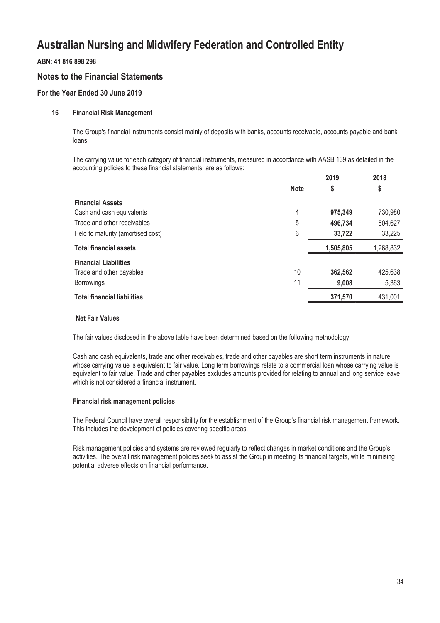### **ABN: 41 816 898 298**

# **Notes to the Financial Statements**

### **For the Year Ended 30 June 2019**

### **16 Financial Risk Management**

The Group's financial instruments consist mainly of deposits with banks, accounts receivable, accounts payable and bank loans.

The carrying value for each category of financial instruments, measured in accordance with AASB 139 as detailed in the accounting policies to these financial statements, are as follows: **2019**

|                                    | 2019        |           | 2018      |  |
|------------------------------------|-------------|-----------|-----------|--|
|                                    | <b>Note</b> | \$        | \$        |  |
| <b>Financial Assets</b>            |             |           |           |  |
| Cash and cash equivalents          | 4           | 975,349   | 730,980   |  |
| Trade and other receivables        | 5           | 496,734   | 504,627   |  |
| Held to maturity (amortised cost)  | 6           | 33,722    | 33,225    |  |
| <b>Total financial assets</b>      |             | 1,505,805 | 1,268,832 |  |
| <b>Financial Liabilities</b>       |             |           |           |  |
| Trade and other payables           | 10          | 362,562   | 425,638   |  |
| <b>Borrowings</b>                  | 11          | 9,008     | 5,363     |  |
| <b>Total financial liabilities</b> |             | 371,570   | 431,001   |  |

#### **Net Fair Values**

The fair values disclosed in the above table have been determined based on the following methodology:

Cash and cash equivalents, trade and other receivables, trade and other payables are short term instruments in nature whose carrying value is equivalent to fair value. Long term borrowings relate to a commercial loan whose carrying value is equivalent to fair value. Trade and other payables excludes amounts provided for relating to annual and long service leave which is not considered a financial instrument.

#### **Financial risk management policies**

The Federal Council have overall responsibility for the establishment of the Group's financial risk management framework. This includes the development of policies covering specific areas.

Risk management policies and systems are reviewed regularly to reflect changes in market conditions and the Group's activities. The overall risk management policies seek to assist the Group in meeting its financial targets, while minimising potential adverse effects on financial performance.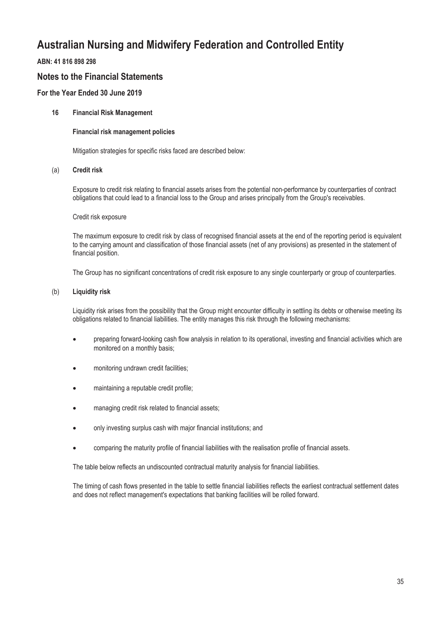### **ABN: 41 816 898 298**

# **Notes to the Financial Statements**

### **For the Year Ended 30 June 2019**

### **16 Financial Risk Management**

#### **Financial risk management policies**

Mitigation strategies for specific risks faced are described below:

### (a) **Credit risk**

Exposure to credit risk relating to financial assets arises from the potential non-performance by counterparties of contract obligations that could lead to a financial loss to the Group and arises principally from the Group's receivables.

#### Credit risk exposure

The maximum exposure to credit risk by class of recognised financial assets at the end of the reporting period is equivalent to the carrying amount and classification of those financial assets (net of any provisions) as presented in the statement of financial position.

The Group has no significant concentrations of credit risk exposure to any single counterparty or group of counterparties.

#### (b) **Liquidity risk**

Liquidity risk arises from the possibility that the Group might encounter difficulty in settling its debts or otherwise meeting its obligations related to financial liabilities. The entity manages this risk through the following mechanisms:

- preparing forward-looking cash flow analysis in relation to its operational, investing and financial activities which are monitored on a monthly basis;
- monitoring undrawn credit facilities;
- maintaining a reputable credit profile;
- managing credit risk related to financial assets;
- only investing surplus cash with major financial institutions; and
- comparing the maturity profile of financial liabilities with the realisation profile of financial assets.

The table below reflects an undiscounted contractual maturity analysis for financial liabilities.

The timing of cash flows presented in the table to settle financial liabilities reflects the earliest contractual settlement dates and does not reflect management's expectations that banking facilities will be rolled forward.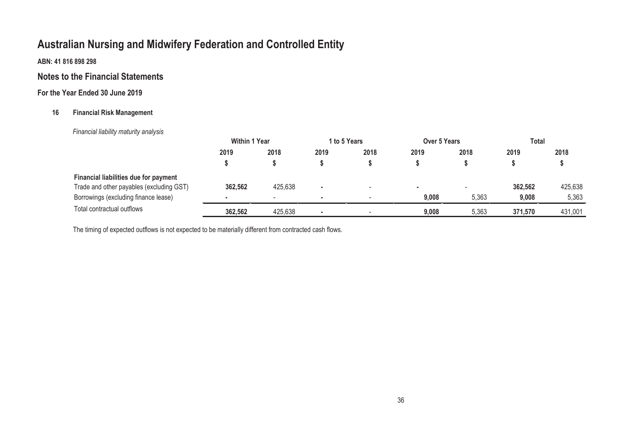**ABN: 41 816 898 298**

# **Notes to the Financial Statements**

## **For the Year Ended 30 June 2019**

## **16 Financial Risk Management**

 *Financial liability maturity analysis*

|                                          | <b>Within 1 Year</b> |                          | 1 to 5 Years   |      | Over 5 Years |                          | <b>Total</b> |         |
|------------------------------------------|----------------------|--------------------------|----------------|------|--------------|--------------------------|--------------|---------|
|                                          | 2019                 | 2018                     | 2019           | 2018 | 2019         | 2018                     | 2019         | 2018    |
|                                          |                      |                          |                |      |              |                          |              |         |
| Financial liabilities due for payment    |                      |                          |                |      |              |                          |              |         |
| Trade and other payables (excluding GST) | 362,562              | 425,638                  | $\blacksquare$ | -    | $\sim$       | $\overline{\phantom{0}}$ | 362,562      | 425,638 |
| Borrowings (excluding finance lease)     |                      | $\overline{\phantom{a}}$ |                |      | 9,008        | 5,363                    | 9,008        | 5,363   |
| Total contractual outflows               | 362,562              | 425,638                  |                |      | 9,008        | 5,363                    | 371,570      | 431,001 |

The timing of expected outflows is not expected to be materially different from contracted cash flows.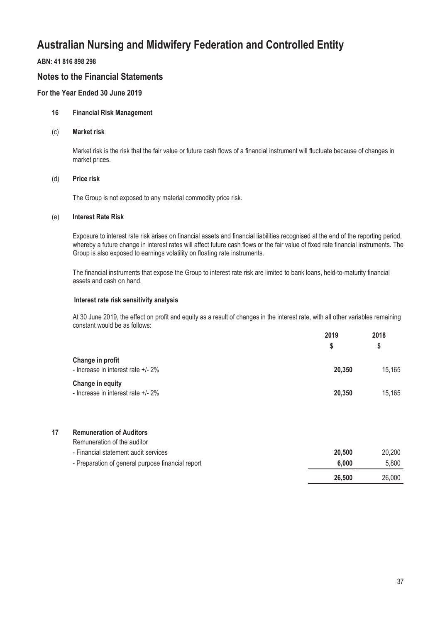### **ABN: 41 816 898 298**

# **Notes to the Financial Statements**

### **For the Year Ended 30 June 2019**

### **16 Financial Risk Management**

(c) **Market risk**

Market risk is the risk that the fair value or future cash flows of a financial instrument will fluctuate because of changes in market prices.

### (d) **Price risk**

The Group is not exposed to any material commodity price risk.

### (e) **Interest Rate Risk**

Exposure to interest rate risk arises on financial assets and financial liabilities recognised at the end of the reporting period, whereby a future change in interest rates will affect future cash flows or the fair value of fixed rate financial instruments. The Group is also exposed to earnings volatility on floating rate instruments.

The financial instruments that expose the Group to interest rate risk are limited to bank loans, held-to-maturity financial assets and cash on hand.

#### **Interest rate risk sensitivity analysis**

At 30 June 2019, the effect on profit and equity as a result of changes in the interest rate, with all other variables remaining constant would be as follows: **2019**

|                                                        | 2019   | 2018   |
|--------------------------------------------------------|--------|--------|
|                                                        | S      | \$     |
| Change in profit<br>- Increase in interest rate +/- 2% | 20,350 | 15,165 |
| Change in equity<br>- Increase in interest rate +/- 2% | 20,350 | 15,165 |

# **17 Remuneration of Auditors**

|                                                   | 26,500 | 26.000 |
|---------------------------------------------------|--------|--------|
| - Preparation of general purpose financial report | 6.000  | 5.800  |
| - Financial statement audit services              | 20,500 | 20.200 |
| Remuneration of the auditor                       |        |        |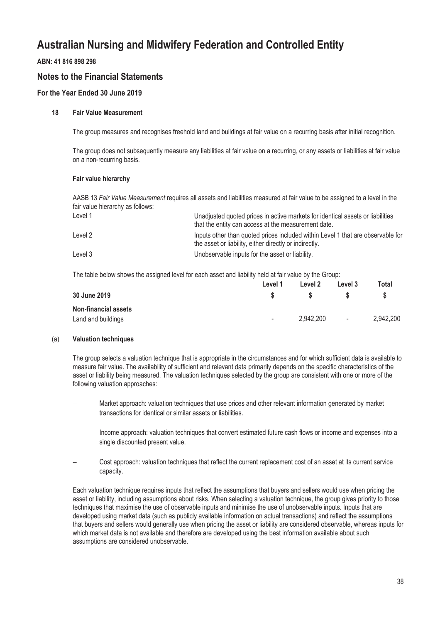### **ABN: 41 816 898 298**

# **Notes to the Financial Statements**

### **For the Year Ended 30 June 2019**

### **18 Fair Value Measurement**

The group measures and recognises freehold land and buildings at fair value on a recurring basis after initial recognition.

The group does not subsequently measure any liabilities at fair value on a recurring, or any assets or liabilities at fair value on a non-recurring basis.

### **Fair value hierarchy**

AASB 13 *Fair Value Measurement* requires all assets and liabilities measured at fair value to be assigned to a level in the fair value hierarchy as follows:

| Level 1 | Unadjusted quoted prices in active markets for identical assets or liabilities<br>that the entity can access at the measurement date.     |
|---------|-------------------------------------------------------------------------------------------------------------------------------------------|
| Level 2 | Inputs other than quoted prices included within Level 1 that are observable for<br>the asset or liability, either directly or indirectly. |
| Level 3 | Unobservable inputs for the asset or liability.                                                                                           |

The table below shows the assigned level for each asset and liability held at fair value by the Group:

|                             | Level 1 | Level 2   | Level 3 | Total     |
|-----------------------------|---------|-----------|---------|-----------|
| 30 June 2019                |         |           |         |           |
| <b>Non-financial assets</b> |         |           |         |           |
| Land and buildings          | $\sim$  | 2,942,200 | $\sim$  | 2,942,200 |

#### (a) **Valuation techniques**

The group selects a valuation technique that is appropriate in the circumstances and for which sufficient data is available to measure fair value. The availability of sufficient and relevant data primarily depends on the specific characteristics of the asset or liability being measured. The valuation techniques selected by the group are consistent with one or more of the following valuation approaches:

- Market approach: valuation techniques that use prices and other relevant information generated by market transactions for identical or similar assets or liabilities.
- Income approach: valuation techniques that convert estimated future cash flows or income and expenses into a single discounted present value.
- Cost approach: valuation techniques that reflect the current replacement cost of an asset at its current service capacity.

Each valuation technique requires inputs that reflect the assumptions that buyers and sellers would use when pricing the asset or liability, including assumptions about risks. When selecting a valuation technique, the group gives priority to those techniques that maximise the use of observable inputs and minimise the use of unobservable inputs. Inputs that are developed using market data (such as publicly available information on actual transactions) and reflect the assumptions that buyers and sellers would generally use when pricing the asset or liability are considered observable, whereas inputs for which market data is not available and therefore are developed using the best information available about such assumptions are considered unobservable.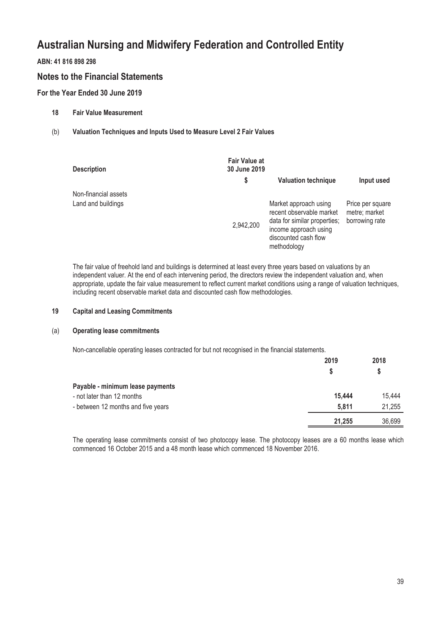### **ABN: 41 816 898 298**

# **Notes to the Financial Statements**

### **For the Year Ended 30 June 2019**

- **18 Fair Value Measurement**
- (b) **Valuation Techniques and Inputs Used to Measure Level 2 Fair Values**

| Description                                | <b>Fair Value at</b><br>30 June 2019 |                                                                                                                                                   |                                                     |
|--------------------------------------------|--------------------------------------|---------------------------------------------------------------------------------------------------------------------------------------------------|-----------------------------------------------------|
|                                            | S                                    | <b>Valuation technique</b>                                                                                                                        | Input used                                          |
| Non-financial assets<br>Land and buildings | 2,942,200                            | Market approach using<br>recent observable market<br>data for similar properties;<br>income approach using<br>discounted cash flow<br>methodology | Price per square<br>metre; market<br>borrowing rate |

The fair value of freehold land and buildings is determined at least every three years based on valuations by an independent valuer. At the end of each intervening period, the directors review the independent valuation and, when appropriate, update the fair value measurement to reflect current market conditions using a range of valuation techniques, including recent observable market data and discounted cash flow methodologies.

### **19 Capital and Leasing Commitments**

### (a) **Operating lease commitments**

Non-cancellable operating leases contracted for but not recognised in the financial statements.

|                                    | 2019   | 2018   |  |
|------------------------------------|--------|--------|--|
|                                    | S      | S      |  |
| Payable - minimum lease payments   |        |        |  |
| - not later than 12 months         | 15,444 | 15,444 |  |
| - between 12 months and five years | 5.811  | 21,255 |  |
|                                    | 21.255 | 36,699 |  |

The operating lease commitments consist of two photocopy lease. The photocopy leases are a 60 months lease which commenced 16 October 2015 and a 48 month lease which commenced 18 November 2016.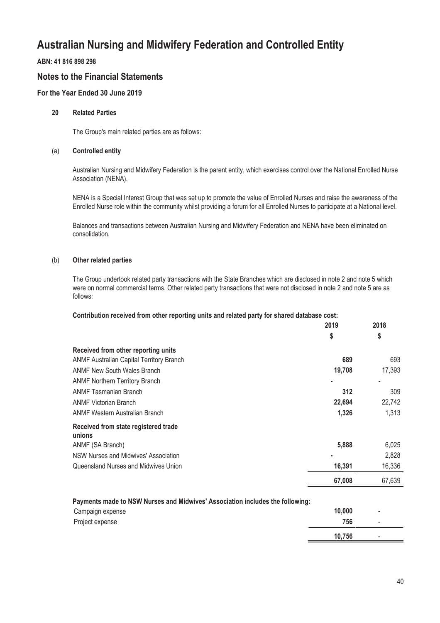### **ABN: 41 816 898 298**

# **Notes to the Financial Statements**

### **For the Year Ended 30 June 2019**

### **20 Related Parties**

The Group's main related parties are as follows:

### (a) **Controlled entity**

Australian Nursing and Midwifery Federation is the parent entity, which exercises control over the National Enrolled Nurse Association (NENA).

NENA is a Special Interest Group that was set up to promote the value of Enrolled Nurses and raise the awareness of the Enrolled Nurse role within the community whilst providing a forum for all Enrolled Nurses to participate at a National level.

Balances and transactions between Australian Nursing and Midwifery Federation and NENA have been eliminated on consolidation.

### (b) **Other related parties**

The Group undertook related party transactions with the State Branches which are disclosed in note 2 and note 5 which were on normal commercial terms. Other related party transactions that were not disclosed in note 2 and note 5 are as follows:

#### **Contribution received from other reporting units and related party for shared database cost:**

|                                                | 2019   | 2018                     |
|------------------------------------------------|--------|--------------------------|
|                                                | \$     | \$                       |
| Received from other reporting units            |        |                          |
| ANMF Australian Capital Territory Branch       | 689    | 693                      |
| <b>ANMF New South Wales Branch</b>             | 19,708 | 17,393                   |
| <b>ANMF Northern Territory Branch</b>          |        | $\overline{\phantom{a}}$ |
| <b>ANMF Tasmanian Branch</b>                   | 312    | 309                      |
| ANMF Victorian Branch                          | 22,694 | 22,742                   |
| ANMF Western Australian Branch                 | 1,326  | 1,313                    |
| Received from state registered trade<br>unions |        |                          |
| ANMF (SA Branch)                               | 5,888  | 6,025                    |
| NSW Nurses and Midwives' Association           |        | 2,828                    |
| Queensland Nurses and Midwives Union           | 16,391 | 16,336                   |
|                                                | 67,008 | 67,639                   |

| Payments made to NSW Nurses and Midwives' Association includes the following: |        |                          |  |
|-------------------------------------------------------------------------------|--------|--------------------------|--|
| Campaign expense                                                              | 10.000 | $\overline{\phantom{0}}$ |  |
| Project expense                                                               | 756    | ٠                        |  |
|                                                                               | 10.756 | -                        |  |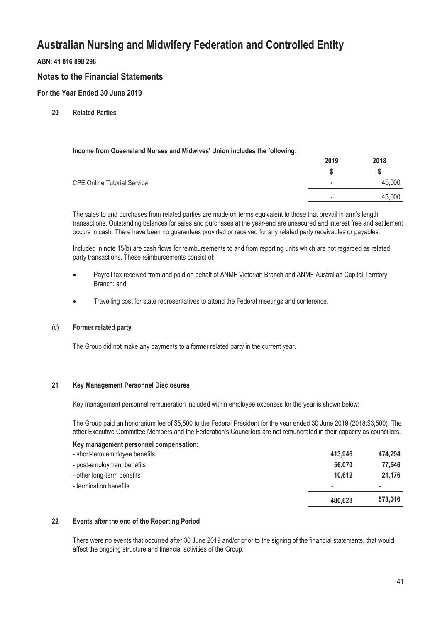**ABN: 41 816 898 298**

# **Notes to the Financial Statements**

### **For the Year Ended 30 June 2019**

**20 Related Parties**

### **Income from Queensland Nurses and Midwives' Union includes the following:**

|                                    | 2019 | 2018   |
|------------------------------------|------|--------|
|                                    |      |        |
| <b>CPE Online Tutorial Service</b> | ٠    | 45,000 |
|                                    |      | 45,000 |

The sales to and purchases from related parties are made on terms equivalent to those that prevail in arm's length transactions. Outstanding balances for sales and purchases at the year-end are unsecured and interest free and settlement occurs in cash. There have been no guarantees provided or received for any related party receivables or payables.

Included in note 15(b) are cash flows for reimbursements to and from reporting units which are not regarded as related party transactions. These reimbursements consist of:

- Payroll tax received from and paid on behalf of ANMF Victorian Branch and ANMF Australian Capital Territory Branch; and
- Travelling cost for state representatives to attend the Federal meetings and conference.

#### (c) **Former related party**

The Group did not make any payments to a former related party in the current year.

### **21 Key Management Personnel Disclosures**

Key management personnel remuneration included within employee expenses for the year is shown below:

The Group paid an honorarium fee of \$5,500 to the Federal President for the year ended 30 June 2019 (2018:\$3,500). The other Executive Committee Members and the Federation's Councillors are not remunerated in their capacity as councillors.

#### **Key management personnel compensation:**

|                                | 480.628 | 573.016 |
|--------------------------------|---------|---------|
| - termination benefits         | ٠       | ٠       |
| - other long-term benefits     | 10,612  | 21.176  |
| - post-employment benefits     | 56,070  | 77,546  |
| - short-term employee benefits | 413.946 | 474.294 |

#### **22 Events after the end of the Reporting Period**

There were no events that occurred after 30 June 2019 and/or prior to the signing of the financial statements, that would affect the ongoing structure and financial activities of the Group.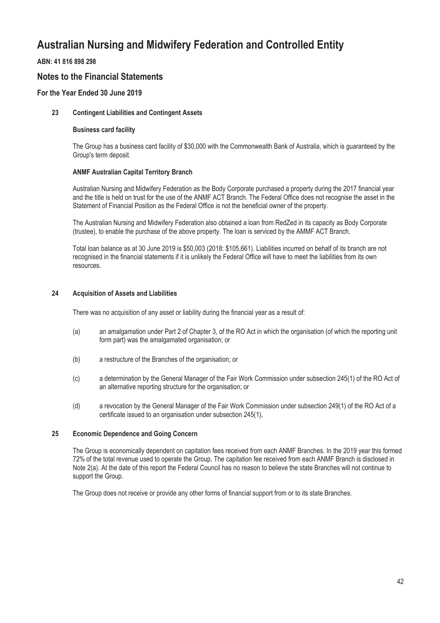### **ABN: 41 816 898 298**

# **Notes to the Financial Statements**

### **For the Year Ended 30 June 2019**

### **23 Contingent Liabilities and Contingent Assets**

### **Business card facility**

The Group has a business card facility of \$30,000 with the Commonwealth Bank of Australia, which is guaranteed by the Group's term deposit.

### **ANMF Australian Capital Territory Branch**

Australian Nursing and Midwifery Federation as the Body Corporate purchased a property during the 2017 financial year and the title is held on trust for the use of the ANMF ACT Branch. The Federal Office does not recognise the asset in the Statement of Financial Position as the Federal Office is not the beneficial owner of the property.

The Australian Nursing and Midwifery Federation also obtained a loan from RedZed in its capacity as Body Corporate (trustee), to enable the purchase of the above property. The loan is serviced by the AMMF ACT Branch.

Total loan balance as at 30 June 2019 is \$50,003 (2018: \$105,661). Liabilities incurred on behalf of its branch are not recognised in the financial statements if it is unlikely the Federal Office will have to meet the liabilities from its own resources.

### **24 Acquisition of Assets and Liabilities**

There was no acquisition of any asset or liability during the financial year as a result of:

- (a) an amalgamation under Part 2 of Chapter 3, of the RO Act in which the organisation (of which the reporting unit form part) was the amalgamated organisation; or
- (b) a restructure of the Branches of the organisation; or
- (c) a determination by the General Manager of the Fair Work Commission under subsection 245(1) of the RO Act of an alternative reporting structure for the organisation; or
- (d) a revocation by the General Manager of the Fair Work Commission under subsection 249(1) of the RO Act of a certificate issued to an organisation under subsection 245(1),

#### **25 Economic Dependence and Going Concern**

The Group is economically dependent on capitation fees received from each ANMF Branches. In the 2019 year this formed 72% of the total revenue used to operate the Group. The capitation fee received from each ANMF Branch is disclosed in Note 2(a). At the date of this report the Federal Council has no reason to believe the state Branches will not continue to support the Group.

The Group does not receive or provide any other forms of financial support from or to its state Branches.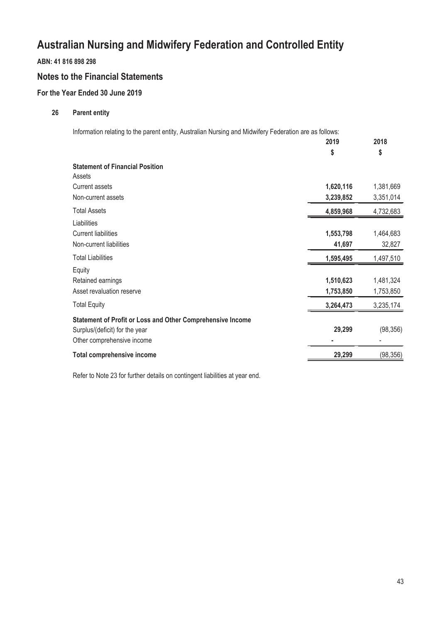**ABN: 41 816 898 298**

# **Notes to the Financial Statements**

## **For the Year Ended 30 June 2019**

## **26 Parent entity**

Information relating to the parent entity, Australian Nursing and Midwifery Federation are as follows:

|                                                            | 2019      | 2018      |
|------------------------------------------------------------|-----------|-----------|
|                                                            | \$        | \$        |
| <b>Statement of Financial Position</b><br>Assets           |           |           |
| <b>Current assets</b>                                      | 1,620,116 | 1,381,669 |
| Non-current assets                                         | 3,239,852 | 3,351,014 |
| <b>Total Assets</b>                                        | 4,859,968 | 4,732,683 |
| Liabilities                                                |           |           |
| <b>Current liabilities</b>                                 | 1,553,798 | 1,464,683 |
| Non-current liabilities                                    | 41,697    | 32,827    |
| <b>Total Liabilities</b>                                   | 1,595,495 | 1,497,510 |
| Equity                                                     |           |           |
| Retained earnings                                          | 1,510,623 | 1,481,324 |
| Asset revaluation reserve                                  | 1,753,850 | 1,753,850 |
| <b>Total Equity</b>                                        | 3,264,473 | 3,235,174 |
| Statement of Profit or Loss and Other Comprehensive Income |           |           |
| Surplus/(deficit) for the year                             | 29,299    | (98, 356) |
| Other comprehensive income                                 |           |           |
| <b>Total comprehensive income</b>                          | 29,299    | (98, 356) |

Refer to Note 23 for further details on contingent liabilities at year end.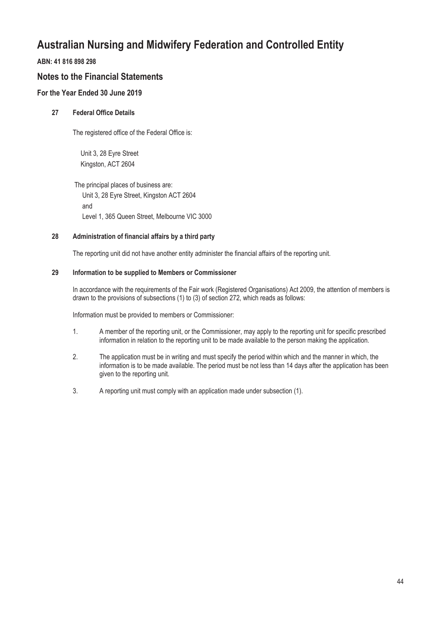### **ABN: 41 816 898 298**

# **Notes to the Financial Statements**

### **For the Year Ended 30 June 2019**

### **27 Federal Office Details**

The registered office of the Federal Office is:

Unit 3, 28 Eyre Street Kingston, ACT 2604

The principal places of business are: Unit 3, 28 Eyre Street, Kingston ACT 2604 and Level 1, 365 Queen Street, Melbourne VIC 3000

### **28 Administration of financial affairs by a third party**

The reporting unit did not have another entity administer the financial affairs of the reporting unit.

### **29 Information to be supplied to Members or Commissioner**

In accordance with the requirements of the Fair work (Registered Organisations) Act 2009, the attention of members is drawn to the provisions of subsections (1) to (3) of section 272, which reads as follows:

Information must be provided to members or Commissioner:

- 1. A member of the reporting unit, or the Commissioner, may apply to the reporting unit for specific prescribed information in relation to the reporting unit to be made available to the person making the application.
- 2. The application must be in writing and must specify the period within which and the manner in which, the information is to be made available. The period must be not less than 14 days after the application has been given to the reporting unit.
- 3. A reporting unit must comply with an application made under subsection (1).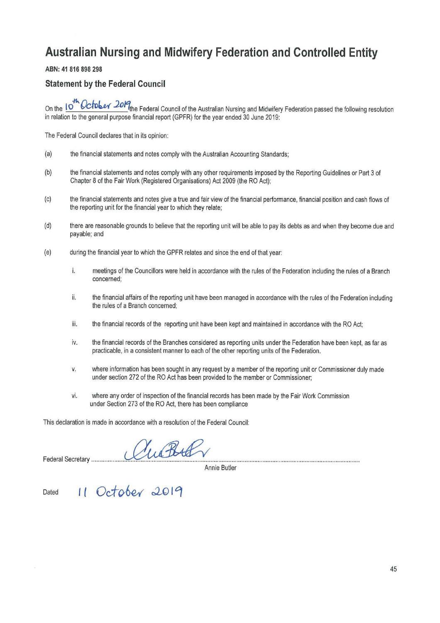ABN: 41 816 898 298

# **Statement by the Federal Council**

On the 10<sup>th</sup> October 2019 the Federal Council of the Australian Nursing and Midwifery Federation passed the following resolution in relation to the general purpose financial report (GPFR) for the year ended 30 June 2019:

The Federal Council declares that in its opinion:

- $(a)$ the financial statements and notes comply with the Australian Accounting Standards;
- $(b)$ the financial statements and notes comply with any other requirements imposed by the Reporting Guidelines or Part 3 of Chapter 8 of the Fair Work (Registered Organisations) Act 2009 (the RO Act);
- the financial statements and notes give a true and fair view of the financial performance, financial position and cash flows of  $(c)$ the reporting unit for the financial year to which they relate:
- there are reasonable grounds to believe that the reporting unit will be able to pay its debts as and when they become due and  $(d)$ payable; and
- $(e)$ during the financial year to which the GPFR relates and since the end of that year:
	- meetings of the Councillors were held in accordance with the rules of the Federation including the rules of a Branch i. concerned:
	- ii. the financial affairs of the reporting unit have been managed in accordance with the rules of the Federation including the rules of a Branch concerned:
	- iii. the financial records of the reporting unit have been kept and maintained in accordance with the RO Act:
	- iv. the financial records of the Branches considered as reporting units under the Federation have been kept, as far as practicable, in a consistent manner to each of the other reporting units of the Federation.
	- V. where information has been sought in any request by a member of the reporting unit or Commissioner duly made under section 272 of the RO Act has been provided to the member or Commissioner:
	- vi. where any order of inspection of the financial records has been made by the Fair Work Commission under Section 273 of the RO Act, there has been compliance

This declaration is made in accordance with a resolution of the Federal Council:

Federal Secretary ClubButh 

Annie Butler

45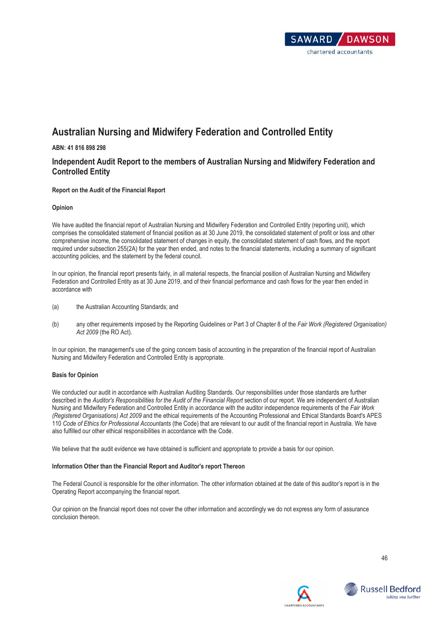

#### **ABN: 41 816 898 298**

## **Independent Audit Report to the members of Australian Nursing and Midwifery Federation and Controlled Entity**

#### **Report on the Audit of the Financial Report**

#### **Opinion**

We have audited the financial report of Australian Nursing and Midwifery Federation and Controlled Entity (reporting unit), which comprises the consolidated statement of financial position as at 30 June 2019, the consolidated statement of profit or loss and other comprehensive income, the consolidated statement of changes in equity, the consolidated statement of cash flows, and the report required under subsection 255(2A) for the year then ended, and notes to the financial statements, including a summary of significant accounting policies, and the statement by the federal council.

In our opinion, the financial report presents fairly, in all material respects, the financial position of Australian Nursing and Midwifery Federation and Controlled Entity as at 30 June 2019, and of their financial performance and cash flows for the year then ended in accordance with

- (a) the Australian Accounting Standards; and
- (b) any other requirements imposed by the Reporting Guidelines or Part 3 of Chapter 8 of the *Fair Work (Registered Organisation) Act 2009* (the RO Act).  $(b)$

In our opinion, the management's use of the going concern basis of accounting in the preparation of the financial report of Australian Nursing and Midwifery Federation and Controlled Entity is appropriate.

#### **Basis for Opinion**

We conducted our audit in accordance with Australian Auditing Standards. Our responsibilities under those standards are further described in the *Auditor's Responsibilities for the Audit of the Financial Report* section of our report. We are independent of Australian Nursing and Midwifery Federation and Controlled Entity in accordance with the auditor independence requirements of the *Fair Work (Registered Organisations) Act 2009* and the ethical requirements of the Accounting Professional and Ethical Standards Board's APES 110 *Code of Ethics for Professional Accountants* (the Code) that are relevant to our audit of the financial report in Australia. We have also fulfilled our other ethical responsibilities in accordance with the Code.

We believe that the audit evidence we have obtained is sufficient and appropriate to provide a basis for our opinion.

#### **Information Other than the Financial Report and Auditor's report Thereon**

The Federal Council is responsible for the other information. The other information obtained at the date of this auditor's report is in the Operating Report accompanying the financial report.

Our opinion on the financial report does not cover the other information and accordingly we do not express any form of assurance conclusion thereon.

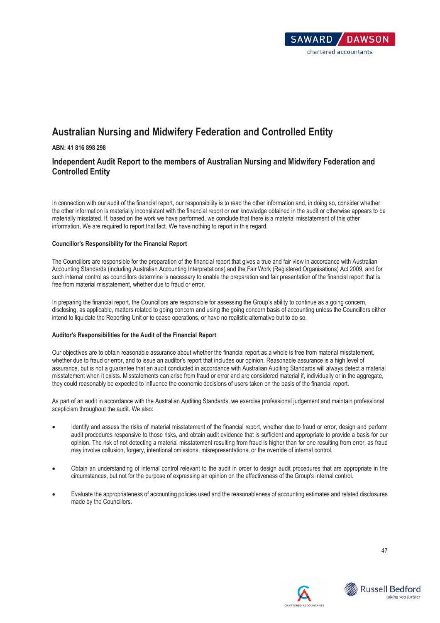

### **ABN: 41 816 898 298**

## **Independent Audit Report to the members of Australian Nursing and Midwifery Federation and Controlled Entity**

In connection with our audit of the financial report, our responsibility is to read the other information and, in doing so, consider whether the other information is materially inconsistent with the financial report or our knowledge obtained in the audit or otherwise appears to be materially misstated. If, based on the work we have performed, we conclude that there is a material misstatement of this other information, We are required to report that fact. We have nothing to report in this regard.

#### **Councillor's Responsibility for the Financial Report**

The Councillors are responsible for the preparation of the financial report that gives a true and fair view in accordance with Australian Accounting Standards (including Australian Accounting Interpretations) and the Fair Work (Registered Organisations) Act 2009, and for such internal control as councillors determine is necessary to enable the preparation and fair presentation of the financial report that is free from material misstatement, whether due to fraud or error.

In preparing the financial report, the Councillors are responsible for assessing the Group's ability to continue as a going concern, disclosing, as applicable, matters related to going concern and using the going concern basis of accounting unless the Councillors either intend to liquidate the Reporting Unit or to cease operations, or have no realistic alternative but to do so.

#### **Auditor's Responsibilities for the Audit of the Financial Report**

Our objectives are to obtain reasonable assurance about whether the financial report as a whole is free from material misstatement, whether due to fraud or error, and to issue an auditor's report that includes our opinion. Reasonable assurance is a high level of assurance, but is not a guarantee that an audit conducted in accordance with Australian Auditing Standards will always detect a material misstatement when it exists. Misstatements can arise from fraud or error and are considered material if, individually or in the aggregate, they could reasonably be expected to influence the economic decisions of users taken on the basis of the financial report.

As part of an audit in accordance with the Australian Auditing Standards, we exercise professional judgement and maintain professional scepticism throughout the audit. We also:

- Identify and assess the risks of material misstatement of the financial report, whether due to fraud or error, design and perform audit procedures responsive to those risks, and obtain audit evidence that is sufficient and appropriate to provide a basis for our opinion. The risk of not detecting a material misstatement resulting from fraud is higher than for one resulting from error, as fraud may involve collusion, forgery, intentional omissions, misrepresentations, or the override of internal control.
- Obtain an understanding of internal control relevant to the audit in order to design audit procedures that are appropriate in the circumstances, but not for the purpose of expressing an opinion on the effectiveness of the Group's internal control.
- Evaluate the appropriateness of accounting policies used and the reasonableness of accounting estimates and related disclosures made by the Councillors.

47